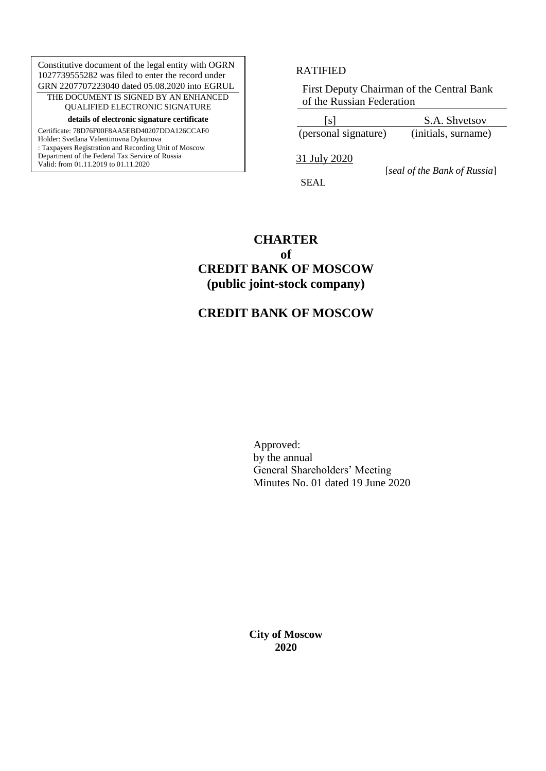Constitutive document of the legal entity with OGRN 1027739555282 was filed to enter the record under GRN 2207707223040 dated 05.08.2020 into EGRUL THE DOCUMENT IS SIGNED BY AN ENHANCED QUALIFIED ELECTRONIC SIGNATURE

**details of electronic signature certificate**

Certificate: 78D76F00F8AA5EBD40207DDA126CCAF0

Holder: Svetlana Valentinovna Dykunova : Taxpayers Registration and Recording Unit of Moscow Department of the Federal Tax Service of Russia Valid: from 01.11.2019 to 01.11.2020

#### RATIFIED

First Deputy Chairman of the Central Bank of the Russian Federation

 [s] S.A. Shvetsov (personal signature) (initials, surname)

31 July 2020

SEAL

[*seal of the Bank of Russia*]

**CHARTER of**

# **CREDIT BANK OF MOSCOW (public joint-stock company)**

## **CREDIT BANK OF MOSCOW**

Approved: by the annual General Shareholders' Meeting Minutes No. 01 dated 19 June 2020

**City of Moscow 2020**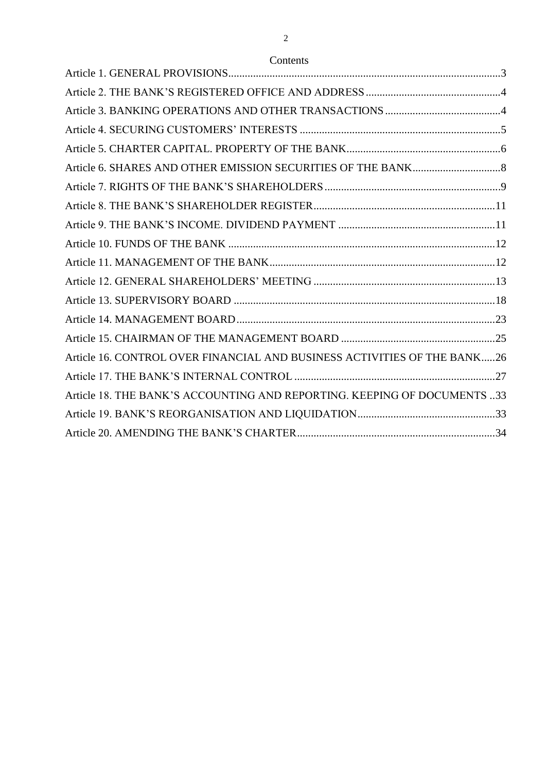## Contents

| Article 16. CONTROL OVER FINANCIAL AND BUSINESS ACTIVITIES OF THE BANK26 |  |
|--------------------------------------------------------------------------|--|
|                                                                          |  |
| Article 18. THE BANK'S ACCOUNTING AND REPORTING. KEEPING OF DOCUMENTS 33 |  |
|                                                                          |  |
|                                                                          |  |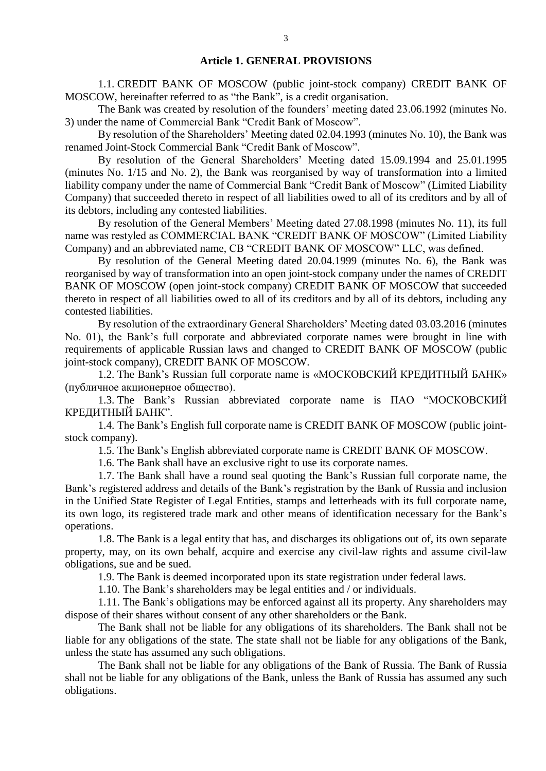#### **Article 1. GENERAL PROVISIONS**

1.1. CREDIT BANK OF MOSCOW (public joint-stock company) CREDIT BANK OF MOSCOW, hereinafter referred to as "the Bank", is a credit organisation.

The Bank was created by resolution of the founders' meeting dated 23.06.1992 (minutes No. 3) under the name of Commercial Bank "Credit Bank of Moscow".

By resolution of the Shareholders' Meeting dated 02.04.1993 (minutes No. 10), the Bank was renamed Joint-Stock Commercial Bank "Credit Bank of Moscow".

By resolution of the General Shareholders' Meeting dated 15.09.1994 and 25.01.1995 (minutes No. 1/15 and No. 2), the Bank was reorganised by way of transformation into a limited liability company under the name of Commercial Bank "Credit Bank of Moscow" (Limited Liability Company) that succeeded thereto in respect of all liabilities owed to all of its creditors and by all of its debtors, including any contested liabilities.

By resolution of the General Members' Meeting dated 27.08.1998 (minutes No. 11), its full name was restyled as COMMERCIAL BANK "CREDIT BANK OF MOSCOW" (Limited Liability Company) and an abbreviated name, CB "CREDIT BANK OF MOSCOW" LLC, was defined.

By resolution of the General Meeting dated 20.04.1999 (minutes No. 6), the Bank was reorganised by way of transformation into an open joint-stock company under the names of CREDIT BANK OF MOSCOW (open joint-stock company) CREDIT BANK OF MOSCOW that succeeded thereto in respect of all liabilities owed to all of its creditors and by all of its debtors, including any contested liabilities.

By resolution of the extraordinary General Shareholders' Meeting dated 03.03.2016 (minutes No. 01), the Bank's full corporate and abbreviated corporate names were brought in line with requirements of applicable Russian laws and changed to CREDIT BANK OF MOSCOW (public joint-stock company), CREDIT BANK OF MOSCOW.

1.2. The Bank's Russian full corporate name is «МОСКОВСКИЙ КРЕДИТНЫЙ БАНК» (публичное акционерное общество).

1.3. The Bank's Russian abbreviated corporate name is ПАО "МОСКОВСКИЙ КРЕДИТНЫЙ БАНК".

1.4. The Bank's English full corporate name is CREDIT BANK OF MOSCOW (public jointstock company).

1.5. The Bank's English abbreviated corporate name is CREDIT BANK OF MOSCOW.

1.6. The Bank shall have an exclusive right to use its corporate names.

1.7. The Bank shall have a round seal quoting the Bank's Russian full corporate name, the Bank's registered address and details of the Bank's registration by the Bank of Russia and inclusion in the Unified State Register of Legal Entities, stamps and letterheads with its full corporate name, its own logo, its registered trade mark and other means of identification necessary for the Bank's operations.

1.8. The Bank is a legal entity that has, and discharges its obligations out of, its own separate property, may, on its own behalf, acquire and exercise any civil-law rights and assume civil-law obligations, sue and be sued.

1.9. The Bank is deemed incorporated upon its state registration under federal laws.

1.10. The Bank's shareholders may be legal entities and / or individuals.

1.11. The Bank's obligations may be enforced against all its property. Any shareholders may dispose of their shares without consent of any other shareholders or the Bank.

The Bank shall not be liable for any obligations of its shareholders. The Bank shall not be liable for any obligations of the state. The state shall not be liable for any obligations of the Bank, unless the state has assumed any such obligations.

The Bank shall not be liable for any obligations of the Bank of Russia. The Bank of Russia shall not be liable for any obligations of the Bank, unless the Bank of Russia has assumed any such obligations.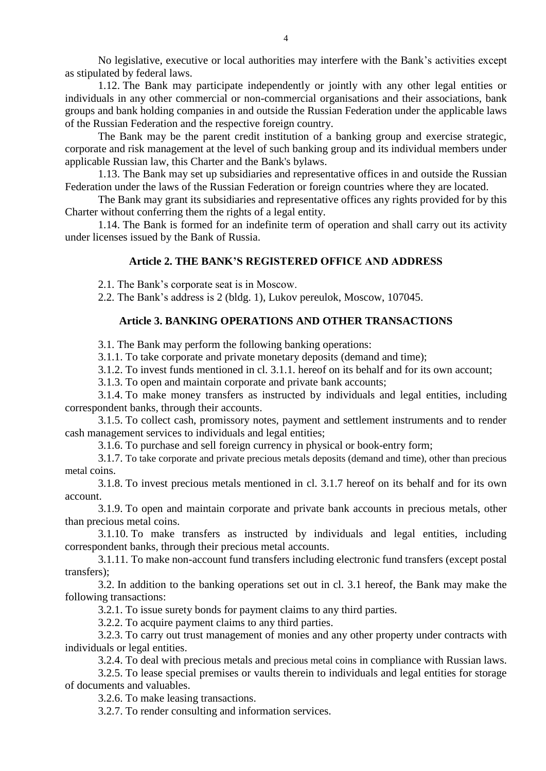No legislative, executive or local authorities may interfere with the Bank's activities except as stipulated by federal laws.

1.12. The Bank may participate independently or jointly with any other legal entities or individuals in any other commercial or non-commercial organisations and their associations, bank groups and bank holding companies in and outside the Russian Federation under the applicable laws of the Russian Federation and the respective foreign country.

The Bank may be the parent credit institution of a banking group and exercise strategic, corporate and risk management at the level of such banking group and its individual members under applicable Russian law, this Charter and the Bank's bylaws.

1.13. The Bank may set up subsidiaries and representative offices in and outside the Russian Federation under the laws of the Russian Federation or foreign countries where they are located.

The Bank may grant its subsidiaries and representative offices any rights provided for by this Charter without conferring them the rights of a legal entity.

1.14. The Bank is formed for an indefinite term of operation and shall carry out its activity under licenses issued by the Bank of Russia.

### **Article 2. THE BANK'S REGISTERED OFFICE AND ADDRESS**

2.1. The Bank's corporate seat is in Moscow.

2.2. The Bank's address is 2 (bldg. 1), Lukov pereulok, Moscow, 107045.

## **Article 3. BANKING OPERATIONS AND OTHER TRANSACTIONS**

3.1. The Bank may perform the following banking operations:

3.1.1. To take corporate and private monetary deposits (demand and time);

3.1.2. To invest funds mentioned in cl. 3.1.1. hereof on its behalf and for its own account;

3.1.3. To open and maintain corporate and private bank accounts;

3.1.4. To make money transfers as instructed by individuals and legal entities, including correspondent banks, through their accounts.

3.1.5. To collect cash, promissory notes, payment and settlement instruments and to render cash management services to individuals and legal entities;

3.1.6. To purchase and sell foreign currency in physical or book-entry form;

3.1.7. To take corporate and private precious metals deposits (demand and time), other than precious metal coins.

3.1.8. To invest precious metals mentioned in cl. 3.1.7 hereof on its behalf and for its own account.

3.1.9. To open and maintain corporate and private bank accounts in precious metals, other than precious metal coins.

3.1.10. To make transfers as instructed by individuals and legal entities, including correspondent banks, through their precious metal accounts.

3.1.11. To make non-account fund transfers including electronic fund transfers (except postal transfers);

3.2. In addition to the banking operations set out in cl. 3.1 hereof, the Bank may make the following transactions:

3.2.1. To issue surety bonds for payment claims to any third parties.

3.2.2. To acquire payment claims to any third parties.

3.2.3. To carry out trust management of monies and any other property under contracts with individuals or legal entities.

3.2.4. To deal with precious metals and precious metal coins in compliance with Russian laws.

3.2.5. To lease special premises or vaults therein to individuals and legal entities for storage of documents and valuables.

3.2.6. To make leasing transactions.

3.2.7. To render consulting and information services.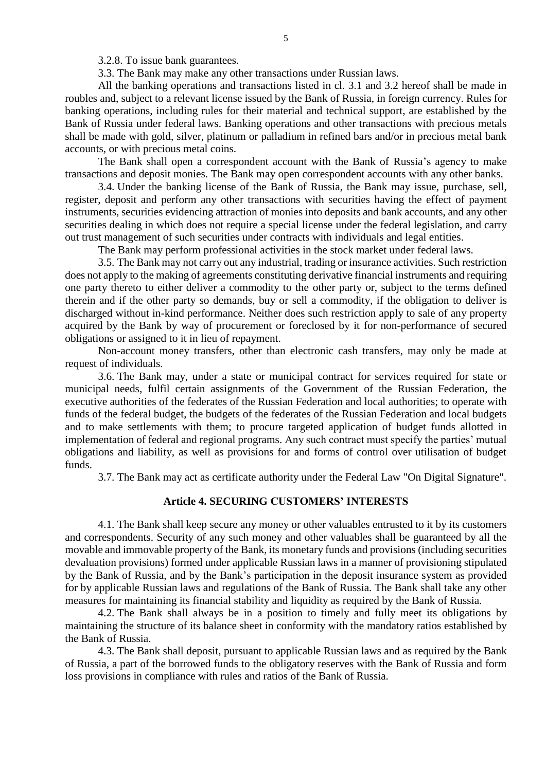3.2.8. To issue bank guarantees.

3.3. The Bank may make any other transactions under Russian laws.

All the banking operations and transactions listed in cl. 3.1 and 3.2 hereof shall be made in roubles and, subject to a relevant license issued by the Bank of Russia, in foreign currency. Rules for banking operations, including rules for their material and technical support, are established by the Bank of Russia under federal laws. Banking operations and other transactions with precious metals shall be made with gold, silver, platinum or palladium in refined bars and/or in precious metal bank accounts, or with precious metal coins.

The Bank shall open a correspondent account with the Bank of Russia's agency to make transactions and deposit monies. The Bank may open correspondent accounts with any other banks.

3.4. Under the banking license of the Bank of Russia, the Bank may issue, purchase, sell, register, deposit and perform any other transactions with securities having the effect of payment instruments, securities evidencing attraction of monies into deposits and bank accounts, and any other securities dealing in which does not require a special license under the federal legislation, and carry out trust management of such securities under contracts with individuals and legal entities.

The Bank may perform professional activities in the stock market under federal laws.

3.5. The Bank may not carry out any industrial, trading or insurance activities. Such restriction does not apply to the making of agreements constituting derivative financial instruments and requiring one party thereto to either deliver a commodity to the other party or, subject to the terms defined therein and if the other party so demands, buy or sell a commodity, if the obligation to deliver is discharged without in-kind performance. Neither does such restriction apply to sale of any property acquired by the Bank by way of procurement or foreclosed by it for non-performance of secured obligations or assigned to it in lieu of repayment.

Non-account money transfers, other than electronic cash transfers, may only be made at request of individuals.

3.6. The Bank may, under a state or municipal contract for services required for state or municipal needs, fulfil certain assignments of the Government of the Russian Federation, the executive authorities of the federates of the Russian Federation and local authorities; to operate with funds of the federal budget, the budgets of the federates of the Russian Federation and local budgets and to make settlements with them; to procure targeted application of budget funds allotted in implementation of federal and regional programs. Any such contract must specify the parties' mutual obligations and liability, as well as provisions for and forms of control over utilisation of budget funds.

3.7. The Bank may act as certificate authority under the Federal Law "On Digital Signature".

#### **Article 4. SECURING CUSTOMERS' INTERESTS**

4.1. The Bank shall keep secure any money or other valuables entrusted to it by its customers and correspondents. Security of any such money and other valuables shall be guaranteed by all the movable and immovable property of the Bank, its monetary funds and provisions (including securities devaluation provisions) formed under applicable Russian laws in a manner of provisioning stipulated by the Bank of Russia, and by the Bank's participation in the deposit insurance system as provided for by applicable Russian laws and regulations of the Bank of Russia. The Bank shall take any other measures for maintaining its financial stability and liquidity as required by the Bank of Russia.

4.2. The Bank shall always be in a position to timely and fully meet its obligations by maintaining the structure of its balance sheet in conformity with the mandatory ratios established by the Bank of Russia.

4.3. The Bank shall deposit, pursuant to applicable Russian laws and as required by the Bank of Russia, a part of the borrowed funds to the obligatory reserves with the Bank of Russia and form loss provisions in compliance with rules and ratios of the Bank of Russia.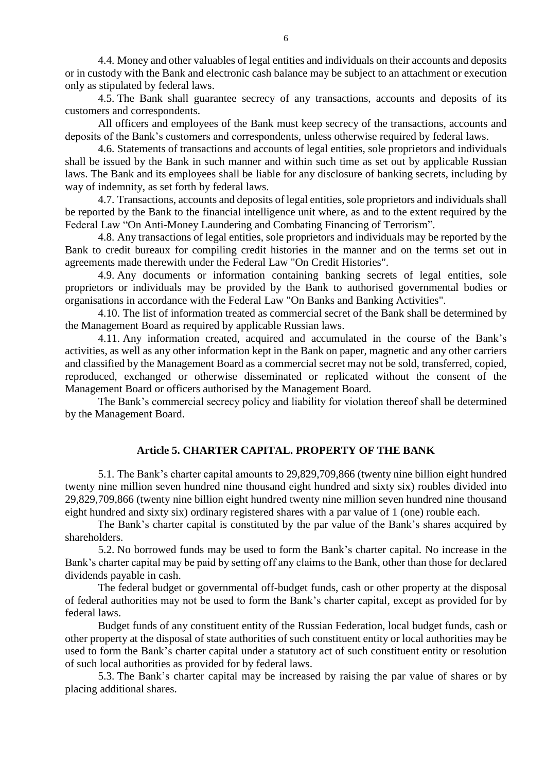4.4. Money and other valuables of legal entities and individuals on their accounts and deposits or in custody with the Bank and electronic cash balance may be subject to an attachment or execution only as stipulated by federal laws.

4.5. The Bank shall guarantee secrecy of any transactions, accounts and deposits of its customers and correspondents.

All officers and employees of the Bank must keep secrecy of the transactions, accounts and deposits of the Bank's customers and correspondents, unless otherwise required by federal laws.

4.6. Statements of transactions and accounts of legal entities, sole proprietors and individuals shall be issued by the Bank in such manner and within such time as set out by applicable Russian laws. The Bank and its employees shall be liable for any disclosure of banking secrets, including by way of indemnity, as set forth by federal laws.

4.7. Transactions, accounts and deposits of legal entities, sole proprietors and individuals shall be reported by the Bank to the financial intelligence unit where, as and to the extent required by the Federal Law "On Anti-Money Laundering and Combating Financing of Terrorism".

4.8. Any transactions of legal entities, sole proprietors and individuals may be reported by the Bank to credit bureaux for compiling credit histories in the manner and on the terms set out in agreements made therewith under the Federal Law "On Credit Histories".

4.9. Any documents or information containing banking secrets of legal entities, sole proprietors or individuals may be provided by the Bank to authorised governmental bodies or organisations in accordance with the Federal Law "On Banks and Banking Activities".

4.10. The list of information treated as commercial secret of the Bank shall be determined by the Management Board as required by applicable Russian laws.

4.11. Any information created, acquired and accumulated in the course of the Bank's activities, as well as any other information kept in the Bank on paper, magnetic and any other carriers and classified by the Management Board as a commercial secret may not be sold, transferred, copied, reproduced, exchanged or otherwise disseminated or replicated without the consent of the Management Board or officers authorised by the Management Board.

The Bank's commercial secrecy policy and liability for violation thereof shall be determined by the Management Board.

## **Article 5. CHARTER CAPITAL. PROPERTY OF THE BANK**

5.1. The Bank's charter capital amounts to 29,829,709,866 (twenty nine billion eight hundred twenty nine million seven hundred nine thousand eight hundred and sixty six) roubles divided into 29,829,709,866 (twenty nine billion eight hundred twenty nine million seven hundred nine thousand eight hundred and sixty six) ordinary registered shares with a par value of 1 (one) rouble each.

The Bank's charter capital is constituted by the par value of the Bank's shares acquired by shareholders.

5.2. No borrowed funds may be used to form the Bank's charter capital. No increase in the Bank's charter capital may be paid by setting off any claims to the Bank, other than those for declared dividends payable in cash.

The federal budget or governmental off-budget funds, cash or other property at the disposal of federal authorities may not be used to form the Bank's charter capital, except as provided for by federal laws.

Budget funds of any constituent entity of the Russian Federation, local budget funds, cash or other property at the disposal of state authorities of such constituent entity or local authorities may be used to form the Bank's charter capital under a statutory act of such constituent entity or resolution of such local authorities as provided for by federal laws.

5.3. The Bank's charter capital may be increased by raising the par value of shares or by placing additional shares.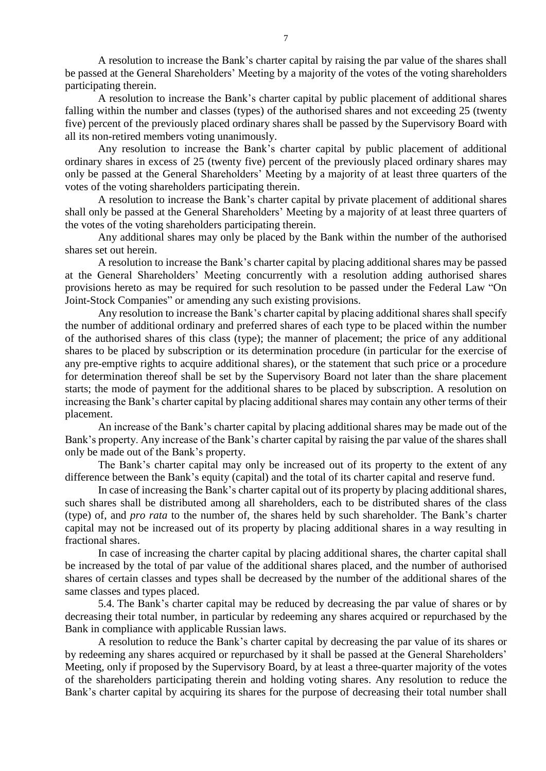A resolution to increase the Bank's charter capital by raising the par value of the shares shall be passed at the General Shareholders' Meeting by a majority of the votes of the voting shareholders participating therein.

A resolution to increase the Bank's charter capital by public placement of additional shares falling within the number and classes (types) of the authorised shares and not exceeding 25 (twenty five) percent of the previously placed ordinary shares shall be passed by the Supervisory Board with all its non-retired members voting unanimously.

Any resolution to increase the Bank's charter capital by public placement of additional ordinary shares in excess of 25 (twenty five) percent of the previously placed ordinary shares may only be passed at the General Shareholders' Meeting by a majority of at least three quarters of the votes of the voting shareholders participating therein.

A resolution to increase the Bank's charter capital by private placement of additional shares shall only be passed at the General Shareholders' Meeting by a majority of at least three quarters of the votes of the voting shareholders participating therein.

Any additional shares may only be placed by the Bank within the number of the authorised shares set out herein.

A resolution to increase the Bank's charter capital by placing additional shares may be passed at the General Shareholders' Meeting concurrently with a resolution adding authorised shares provisions hereto as may be required for such resolution to be passed under the Federal Law "On Joint-Stock Companies" or amending any such existing provisions.

Any resolution to increase the Bank's charter capital by placing additional shares shall specify the number of additional ordinary and preferred shares of each type to be placed within the number of the authorised shares of this class (type); the manner of placement; the price of any additional shares to be placed by subscription or its determination procedure (in particular for the exercise of any pre-emptive rights to acquire additional shares), or the statement that such price or a procedure for determination thereof shall be set by the Supervisory Board not later than the share placement starts; the mode of payment for the additional shares to be placed by subscription. A resolution on increasing the Bank's charter capital by placing additional shares may contain any other terms of their placement.

An increase of the Bank's charter capital by placing additional shares may be made out of the Bank's property. Any increase of the Bank's charter capital by raising the par value of the shares shall only be made out of the Bank's property.

The Bank's charter capital may only be increased out of its property to the extent of any difference between the Bank's equity (capital) and the total of its charter capital and reserve fund.

In case of increasing the Bank's charter capital out of its property by placing additional shares, such shares shall be distributed among all shareholders, each to be distributed shares of the class (type) of, and *pro rata* to the number of, the shares held by such shareholder. The Bank's charter capital may not be increased out of its property by placing additional shares in a way resulting in fractional shares.

In case of increasing the charter capital by placing additional shares, the charter capital shall be increased by the total of par value of the additional shares placed, and the number of authorised shares of certain classes and types shall be decreased by the number of the additional shares of the same classes and types placed.

5.4. The Bank's charter capital may be reduced by decreasing the par value of shares or by decreasing their total number, in particular by redeeming any shares acquired or repurchased by the Bank in compliance with applicable Russian laws.

A resolution to reduce the Bank's charter capital by decreasing the par value of its shares or by redeeming any shares acquired or repurchased by it shall be passed at the General Shareholders' Meeting, only if proposed by the Supervisory Board, by at least a three-quarter majority of the votes of the shareholders participating therein and holding voting shares. Any resolution to reduce the Bank's charter capital by acquiring its shares for the purpose of decreasing their total number shall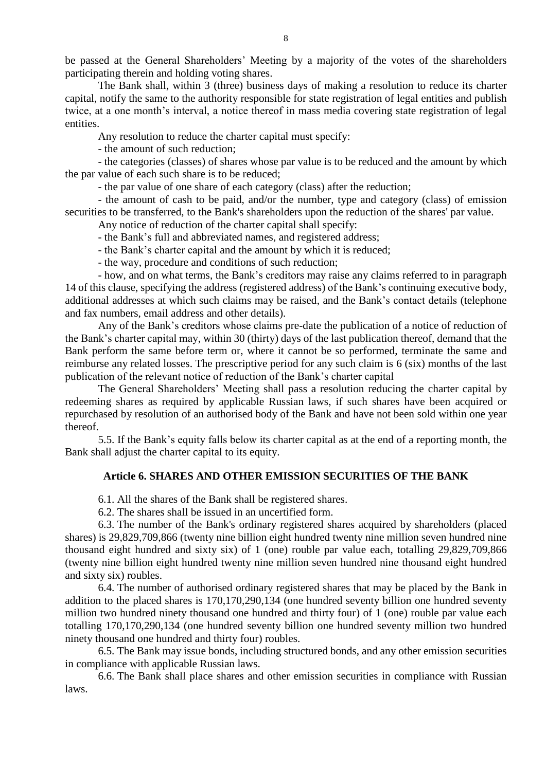be passed at the General Shareholders' Meeting by a majority of the votes of the shareholders participating therein and holding voting shares.

The Bank shall, within 3 (three) business days of making a resolution to reduce its charter capital, notify the same to the authority responsible for state registration of legal entities and publish twice, at a one month's interval, a notice thereof in mass media covering state registration of legal entities.

Any resolution to reduce the charter capital must specify:

- the amount of such reduction;

- the categories (classes) of shares whose par value is to be reduced and the amount by which the par value of each such share is to be reduced;

- the par value of one share of each category (class) after the reduction;

- the amount of cash to be paid, and/or the number, type and category (class) of emission securities to be transferred, to the Bank's shareholders upon the reduction of the shares' par value.

Any notice of reduction of the charter capital shall specify:

- the Bank's full and abbreviated names, and registered address;

- the Bank's charter capital and the amount by which it is reduced;

- the way, procedure and conditions of such reduction;

- how, and on what terms, the Bank's creditors may raise any claims referred to in paragraph 14 of this clause, specifying the address (registered address) of the Bank's continuing executive body, additional addresses at which such claims may be raised, and the Bank's contact details (telephone and fax numbers, email address and other details).

Any of the Bank's creditors whose claims pre-date the publication of a notice of reduction of the Bank's charter capital may, within 30 (thirty) days of the last publication thereof, demand that the Bank perform the same before term or, where it cannot be so performed, terminate the same and reimburse any related losses. The prescriptive period for any such claim is 6 (six) months of the last publication of the relevant notice of reduction of the Bank's charter capital

The General Shareholders' Meeting shall pass a resolution reducing the charter capital by redeeming shares as required by applicable Russian laws, if such shares have been acquired or repurchased by resolution of an authorised body of the Bank and have not been sold within one year thereof.

5.5. If the Bank's equity falls below its charter capital as at the end of a reporting month, the Bank shall adjust the charter capital to its equity.

### **Article 6. SHARES AND OTHER EMISSION SECURITIES OF THE BANK**

6.1. All the shares of the Bank shall be registered shares.

6.2. The shares shall be issued in an uncertified form.

6.3. The number of the Bank's ordinary registered shares acquired by shareholders (placed shares) is 29,829,709,866 (twenty nine billion eight hundred twenty nine million seven hundred nine thousand eight hundred and sixty six) of 1 (one) rouble par value each, totalling 29,829,709,866 (twenty nine billion eight hundred twenty nine million seven hundred nine thousand eight hundred and sixty six) roubles.

6.4. The number of authorised ordinary registered shares that may be placed by the Bank in addition to the placed shares is 170,170,290,134 (one hundred seventy billion one hundred seventy million two hundred ninety thousand one hundred and thirty four) of 1 (one) rouble par value each totalling 170,170,290,134 (one hundred seventy billion one hundred seventy million two hundred ninety thousand one hundred and thirty four) roubles.

6.5. The Bank may issue bonds, including structured bonds, and any other emission securities in compliance with applicable Russian laws.

6.6. The Bank shall place shares and other emission securities in compliance with Russian laws.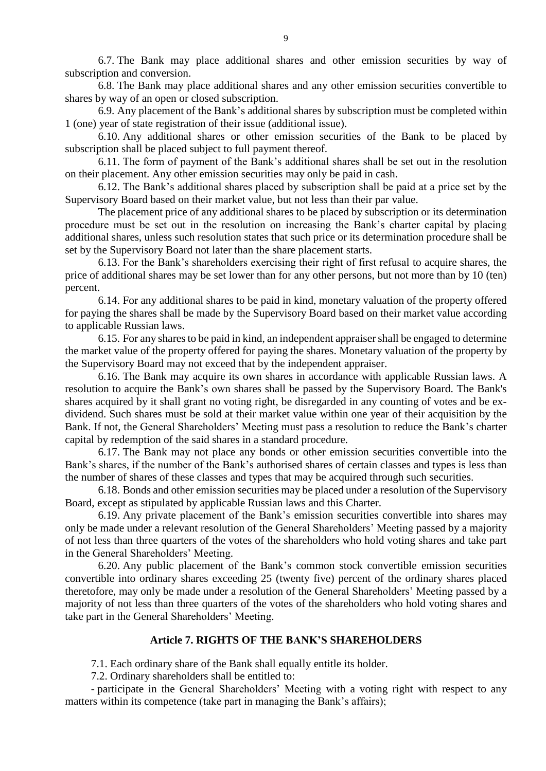6.7. The Bank may place additional shares and other emission securities by way of subscription and conversion.

6.8. The Bank may place additional shares and any other emission securities convertible to shares by way of an open or closed subscription.

6.9. Any placement of the Bank's additional shares by subscription must be completed within 1 (one) year of state registration of their issue (additional issue).

6.10. Any additional shares or other emission securities of the Bank to be placed by subscription shall be placed subject to full payment thereof.

6.11. The form of payment of the Bank's additional shares shall be set out in the resolution on their placement. Any other emission securities may only be paid in cash.

6.12. The Bank's additional shares placed by subscription shall be paid at a price set by the Supervisory Board based on their market value, but not less than their par value.

The placement price of any additional shares to be placed by subscription or its determination procedure must be set out in the resolution on increasing the Bank's charter capital by placing additional shares, unless such resolution states that such price or its determination procedure shall be set by the Supervisory Board not later than the share placement starts.

6.13. For the Bank's shareholders exercising their right of first refusal to acquire shares, the price of additional shares may be set lower than for any other persons, but not more than by 10 (ten) percent.

6.14. For any additional shares to be paid in kind, monetary valuation of the property offered for paying the shares shall be made by the Supervisory Board based on their market value according to applicable Russian laws.

6.15. For any shares to be paid in kind, an independent appraisershall be engaged to determine the market value of the property offered for paying the shares. Monetary valuation of the property by the Supervisory Board may not exceed that by the independent appraiser.

6.16. The Bank may acquire its own shares in accordance with applicable Russian laws. A resolution to acquire the Bank's own shares shall be passed by the Supervisory Board. The Bank's shares acquired by it shall grant no voting right, be disregarded in any counting of votes and be exdividend. Such shares must be sold at their market value within one year of their acquisition by the Bank. If not, the General Shareholders' Meeting must pass a resolution to reduce the Bank's charter capital by redemption of the said shares in a standard procedure.

6.17. The Bank may not place any bonds or other emission securities convertible into the Bank's shares, if the number of the Bank's authorised shares of certain classes and types is less than the number of shares of these classes and types that may be acquired through such securities.

6.18. Bonds and other emission securities may be placed under a resolution of the Supervisory Board, except as stipulated by applicable Russian laws and this Charter.

6.19. Any private placement of the Bank's emission securities convertible into shares may only be made under a relevant resolution of the General Shareholders' Meeting passed by a majority of not less than three quarters of the votes of the shareholders who hold voting shares and take part in the General Shareholders' Meeting.

6.20. Any public placement of the Bank's common stock convertible emission securities convertible into ordinary shares exceeding 25 (twenty five) percent of the ordinary shares placed theretofore, may only be made under a resolution of the General Shareholders' Meeting passed by a majority of not less than three quarters of the votes of the shareholders who hold voting shares and take part in the General Shareholders' Meeting.

#### **Article 7. RIGHTS OF THE BANK'S SHAREHOLDERS**

7.1. Each ordinary share of the Bank shall equally entitle its holder.

7.2. Ordinary shareholders shall be entitled to:

- participate in the General Shareholders' Meeting with a voting right with respect to any matters within its competence (take part in managing the Bank's affairs);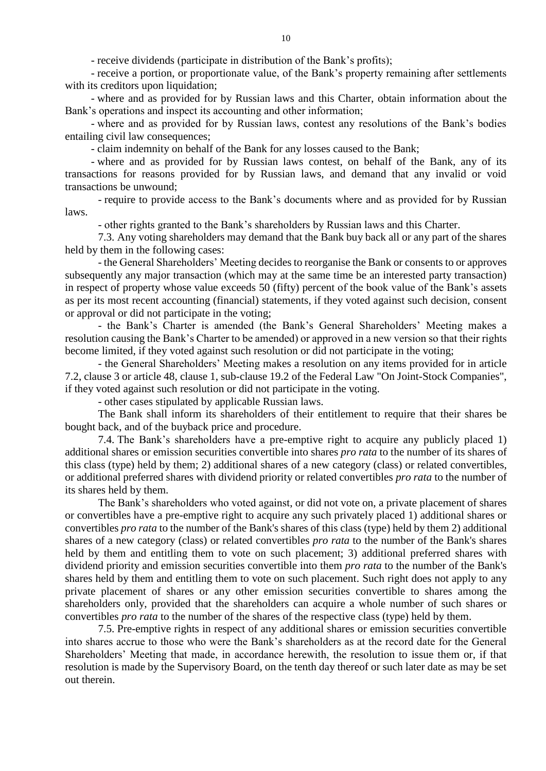- receive dividends (participate in distribution of the Bank's profits);

- receive a portion, or proportionate value, of the Bank's property remaining after settlements with its creditors upon liquidation;

- where and as provided for by Russian laws and this Charter, obtain information about the Bank's operations and inspect its accounting and other information;

- where and as provided for by Russian laws, contest any resolutions of the Bank's bodies entailing civil law consequences;

- claim indemnity on behalf of the Bank for any losses caused to the Bank;

- where and as provided for by Russian laws contest, on behalf of the Bank, any of its transactions for reasons provided for by Russian laws, and demand that any invalid or void transactions be unwound;

- require to provide access to the Bank's documents where and as provided for by Russian laws.

- other rights granted to the Bank's shareholders by Russian laws and this Charter.

7.3. Any voting shareholders may demand that the Bank buy back all or any part of the shares held by them in the following cases:

- the General Shareholders' Meeting decides to reorganise the Bank or consents to or approves subsequently any major transaction (which may at the same time be an interested party transaction) in respect of property whose value exceeds 50 (fifty) percent of the book value of the Bank's assets as per its most recent accounting (financial) statements, if they voted against such decision, consent or approval or did not participate in the voting;

- the Bank's Charter is amended (the Bank's General Shareholders' Meeting makes a resolution causing the Bank's Charter to be amended) or approved in a new version so that their rights become limited, if they voted against such resolution or did not participate in the voting;

- the General Shareholders' Meeting makes a resolution on any items provided for in article 7.2, clause 3 or article 48, clause 1, sub-clause 19.2 of the Federal Law "On Joint-Stock Companies", if they voted against such resolution or did not participate in the voting.

- other cases stipulated by applicable Russian laws.

The Bank shall inform its shareholders of their entitlement to require that their shares be bought back, and of the buyback price and procedure.

7.4. The Bank's shareholders have a pre-emptive right to acquire any publicly placed 1) additional shares or emission securities convertible into shares *pro rata* to the number of its shares of this class (type) held by them; 2) additional shares of a new category (class) or related convertibles, or additional preferred shares with dividend priority or related convertibles *pro rata* to the number of its shares held by them.

The Bank's shareholders who voted against, or did not vote on, a private placement of shares or convertibles have a pre-emptive right to acquire any such privately placed 1) additional shares or convertibles *pro rata* to the number of the Bank's shares of this class (type) held by them 2) additional shares of a new category (class) or related convertibles *pro rata* to the number of the Bank's shares held by them and entitling them to vote on such placement; 3) additional preferred shares with dividend priority and emission securities convertible into them *pro rata* to the number of the Bank's shares held by them and entitling them to vote on such placement. Such right does not apply to any private placement of shares or any other emission securities convertible to shares among the shareholders only, provided that the shareholders can acquire a whole number of such shares or convertibles *pro rata* to the number of the shares of the respective class (type) held by them.

7.5. Pre-emptive rights in respect of any additional shares or emission securities convertible into shares accrue to those who were the Bank's shareholders as at the record date for the General Shareholders' Meeting that made, in accordance herewith, the resolution to issue them or, if that resolution is made by the Supervisory Board, on the tenth day thereof or such later date as may be set out therein.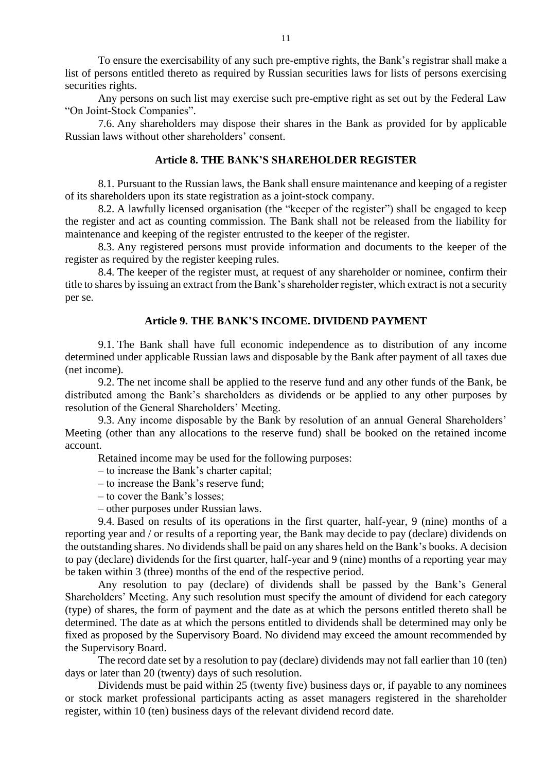To ensure the exercisability of any such pre-emptive rights, the Bank's registrar shall make a list of persons entitled thereto as required by Russian securities laws for lists of persons exercising securities rights.

Any persons on such list may exercise such pre-emptive right as set out by the Federal Law "On Joint-Stock Companies".

7.6. Any shareholders may dispose their shares in the Bank as provided for by applicable Russian laws without other shareholders' consent.

## **Article 8. THE BANK'S SHAREHOLDER REGISTER**

8.1. Pursuant to the Russian laws, the Bank shall ensure maintenance and keeping of a register of its shareholders upon its state registration as a joint-stock company.

8.2. A lawfully licensed organisation (the "keeper of the register") shall be engaged to keep the register and act as counting commission. The Bank shall not be released from the liability for maintenance and keeping of the register entrusted to the keeper of the register.

8.3. Any registered persons must provide information and documents to the keeper of the register as required by the register keeping rules.

8.4. The keeper of the register must, at request of any shareholder or nominee, confirm their title to shares by issuing an extract from the Bank's shareholder register, which extract is not a security per se.

#### **Article 9. THE BANK'S INCOME. DIVIDEND PAYMENT**

9.1. The Bank shall have full economic independence as to distribution of any income determined under applicable Russian laws and disposable by the Bank after payment of all taxes due (net income).

9.2. The net income shall be applied to the reserve fund and any other funds of the Bank, be distributed among the Bank's shareholders as dividends or be applied to any other purposes by resolution of the General Shareholders' Meeting.

9.3. Any income disposable by the Bank by resolution of an annual General Shareholders' Meeting (other than any allocations to the reserve fund) shall be booked on the retained income account.

Retained income may be used for the following purposes:

- to increase the Bank's charter capital;
- to increase the Bank's reserve fund;
- to cover the Bank's losses;
- other purposes under Russian laws.

9.4. Based on results of its operations in the first quarter, half-year, 9 (nine) months of a reporting year and / or results of a reporting year, the Bank may decide to pay (declare) dividends on the outstanding shares. No dividends shall be paid on any shares held on the Bank's books. A decision to pay (declare) dividends for the first quarter, half-year and 9 (nine) months of a reporting year may be taken within 3 (three) months of the end of the respective period.

Any resolution to pay (declare) of dividends shall be passed by the Bank's General Shareholders' Meeting. Any such resolution must specify the amount of dividend for each category (type) of shares, the form of payment and the date as at which the persons entitled thereto shall be determined. The date as at which the persons entitled to dividends shall be determined may only be fixed as proposed by the Supervisory Board. No dividend may exceed the amount recommended by the Supervisory Board.

The record date set by a resolution to pay (declare) dividends may not fall earlier than 10 (ten) days or later than 20 (twenty) days of such resolution.

Dividends must be paid within 25 (twenty five) business days or, if payable to any nominees or stock market professional participants acting as asset managers registered in the shareholder register, within 10 (ten) business days of the relevant dividend record date.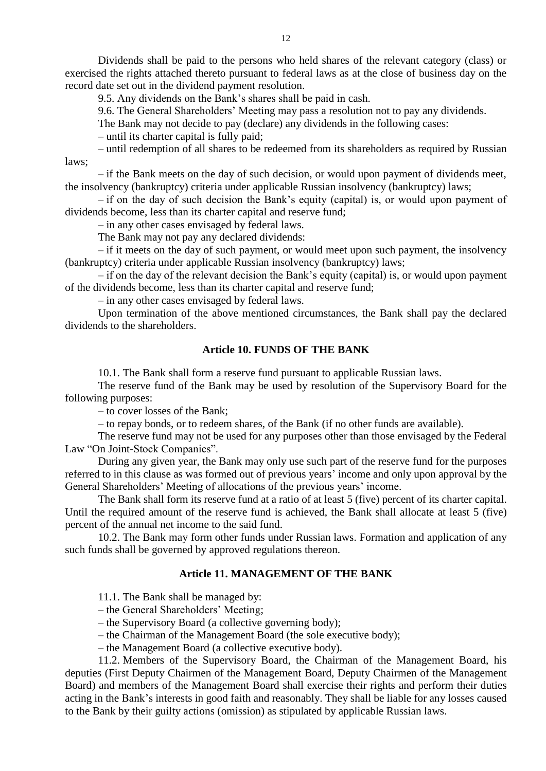Dividends shall be paid to the persons who held shares of the relevant category (class) or exercised the rights attached thereto pursuant to federal laws as at the close of business day on the record date set out in the dividend payment resolution.

9.5. Any dividends on the Bank's shares shall be paid in cash.

9.6. The General Shareholders' Meeting may pass a resolution not to pay any dividends.

The Bank may not decide to pay (declare) any dividends in the following cases:

– until its charter capital is fully paid;

– until redemption of all shares to be redeemed from its shareholders as required by Russian laws;

– if the Bank meets on the day of such decision, or would upon payment of dividends meet, the insolvency (bankruptcy) criteria under applicable Russian insolvency (bankruptcy) laws;

– if on the day of such decision the Bank's equity (capital) is, or would upon payment of dividends become, less than its charter capital and reserve fund;

– in any other cases envisaged by federal laws.

The Bank may not pay any declared dividends:

– if it meets on the day of such payment, or would meet upon such payment, the insolvency (bankruptcy) criteria under applicable Russian insolvency (bankruptcy) laws;

– if on the day of the relevant decision the Bank's equity (capital) is, or would upon payment of the dividends become, less than its charter capital and reserve fund;

– in any other cases envisaged by federal laws.

Upon termination of the above mentioned circumstances, the Bank shall pay the declared dividends to the shareholders.

## **Article 10. FUNDS OF THE BANK**

10.1. The Bank shall form a reserve fund pursuant to applicable Russian laws.

The reserve fund of the Bank may be used by resolution of the Supervisory Board for the following purposes:

– to cover losses of the Bank;

– to repay bonds, or to redeem shares, of the Bank (if no other funds are available).

The reserve fund may not be used for any purposes other than those envisaged by the Federal Law "On Joint-Stock Companies".

During any given year, the Bank may only use such part of the reserve fund for the purposes referred to in this clause as was formed out of previous years' income and only upon approval by the General Shareholders' Meeting of allocations of the previous years' income.

The Bank shall form its reserve fund at a ratio of at least 5 (five) percent of its charter capital. Until the required amount of the reserve fund is achieved, the Bank shall allocate at least 5 (five) percent of the annual net income to the said fund.

10.2. The Bank may form other funds under Russian laws. Formation and application of any such funds shall be governed by approved regulations thereon.

#### **Article 11. MANAGEMENT OF THE BANK**

11.1. The Bank shall be managed by:

– the General Shareholders' Meeting;

– the Supervisory Board (a collective governing body);

– the Chairman of the Management Board (the sole executive body);

– the Management Board (a collective executive body).

11.2. Members of the Supervisory Board, the Chairman of the Management Board, his deputies (First Deputy Chairmen of the Management Board, Deputy Chairmen of the Management Board) and members of the Management Board shall exercise their rights and perform their duties acting in the Bank's interests in good faith and reasonably. They shall be liable for any losses caused to the Bank by their guilty actions (omission) as stipulated by applicable Russian laws.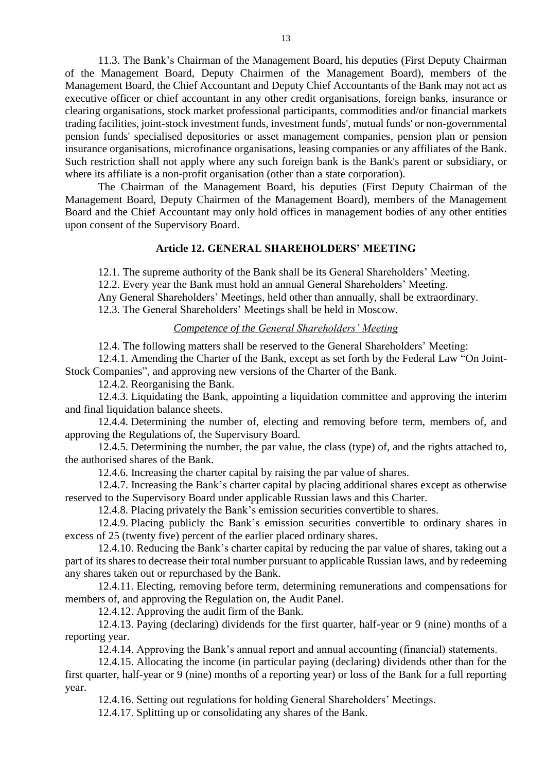11.3. The Bank's Chairman of the Management Board, his deputies (First Deputy Chairman of the Management Board, Deputy Chairmen of the Management Board), members of the Management Board, the Chief Accountant and Deputy Chief Accountants of the Bank may not act as executive officer or chief accountant in any other credit organisations, foreign banks, insurance or clearing organisations, stock market professional participants, commodities and/or financial markets trading facilities, joint-stock investment funds, investment funds', mutual funds' or non-governmental pension funds' specialised depositories or asset management companies, pension plan or pension insurance organisations, microfinance organisations, leasing companies or any affiliates of the Bank. Such restriction shall not apply where any such foreign bank is the Bank's parent or subsidiary, or where its affiliate is a non-profit organisation (other than a state corporation).

The Chairman of the Management Board, his deputies (First Deputy Chairman of the Management Board, Deputy Chairmen of the Management Board), members of the Management Board and the Chief Accountant may only hold offices in management bodies of any other entities upon consent of the Supervisory Board.

## **Article 12. GENERAL SHAREHOLDERS' MEETING**

12.1. The supreme authority of the Bank shall be its General Shareholders' Meeting.

12.2. Every year the Bank must hold an annual General Shareholders' Meeting.

Any General Shareholders' Meetings, held other than annually, shall be extraordinary.

12.3. The General Shareholders' Meetings shall be held in Moscow.

## *Competence of the General Shareholders' Meeting*

12.4. The following matters shall be reserved to the General Shareholders' Meeting:

12.4.1. Amending the Charter of the Bank, except as set forth by the Federal Law "On Joint-Stock Companies", and approving new versions of the Charter of the Bank.

12.4.2. Reorganising the Bank.

12.4.3. Liquidating the Bank, appointing a liquidation committee and approving the interim and final liquidation balance sheets.

12.4.4. Determining the number of, electing and removing before term, members of, and approving the Regulations of, the Supervisory Board.

12.4.5. Determining the number, the par value, the class (type) of, and the rights attached to, the authorised shares of the Bank.

12.4.6. Increasing the charter capital by raising the par value of shares.

12.4.7. Increasing the Bank's charter capital by placing additional shares except as otherwise reserved to the Supervisory Board under applicable Russian laws and this Charter.

12.4.8. Placing privately the Bank's emission securities convertible to shares.

12.4.9. Placing publicly the Bank's emission securities convertible to ordinary shares in excess of 25 (twenty five) percent of the earlier placed ordinary shares.

12.4.10. Reducing the Bank's charter capital by reducing the par value of shares, taking out a part of its shares to decrease their total number pursuant to applicable Russian laws, and by redeeming any shares taken out or repurchased by the Bank.

12.4.11. Electing, removing before term, determining remunerations and compensations for members of, and approving the Regulation on, the Audit Panel.

12.4.12. Approving the audit firm of the Bank.

12.4.13. Paying (declaring) dividends for the first quarter, half-year or 9 (nine) months of a reporting year.

12.4.14. Approving the Bank's annual report and annual accounting (financial) statements.

12.4.15. Allocating the income (in particular paying (declaring) dividends other than for the first quarter, half-year or 9 (nine) months of a reporting year) or loss of the Bank for a full reporting year.

12.4.16. Setting out regulations for holding General Shareholders' Meetings.

12.4.17. Splitting up or consolidating any shares of the Bank.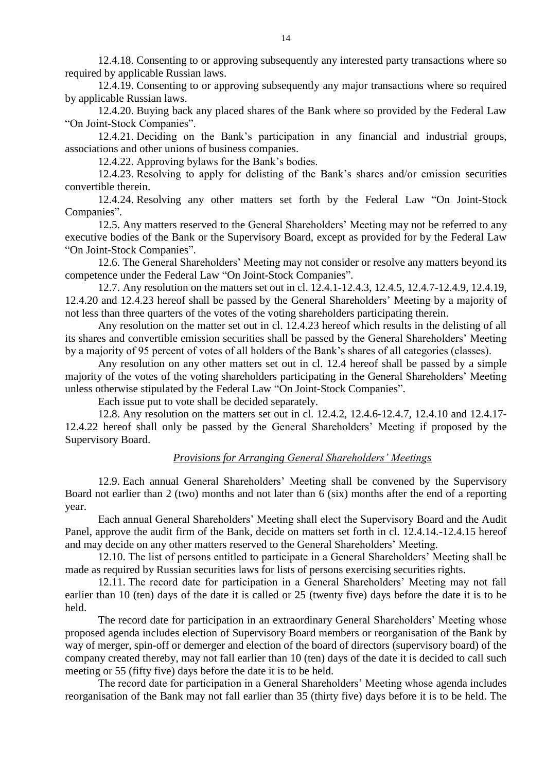12.4.18. Consenting to or approving subsequently any interested party transactions where so required by applicable Russian laws.

12.4.19. Consenting to or approving subsequently any major transactions where so required by applicable Russian laws.

12.4.20. Buying back any placed shares of the Bank where so provided by the Federal Law "On Joint-Stock Companies".

12.4.21. Deciding on the Bank's participation in any financial and industrial groups, associations and other unions of business companies.

12.4.22. Approving bylaws for the Bank's bodies.

12.4.23. Resolving to apply for delisting of the Bank's shares and/or emission securities convertible therein.

12.4.24. Resolving any other matters set forth by the Federal Law "On Joint-Stock Companies".

12.5. Any matters reserved to the General Shareholders' Meeting may not be referred to any executive bodies of the Bank or the Supervisory Board, except as provided for by the Federal Law "On Joint-Stock Companies".

12.6. The General Shareholders' Meeting may not consider or resolve any matters beyond its competence under the Federal Law "On Joint-Stock Companies".

12.7. Any resolution on the matters set out in cl. 12.4.1-12.4.3, 12.4.5, 12.4.7-12.4.9, 12.4.19, 12.4.20 and 12.4.23 hereof shall be passed by the General Shareholders' Meeting by a majority of not less than three quarters of the votes of the voting shareholders participating therein.

Any resolution on the matter set out in cl. 12.4.23 hereof which results in the delisting of all its shares and convertible emission securities shall be passed by the General Shareholders' Meeting by a majority of 95 percent of votes of all holders of the Bank's shares of all categories (classes).

Any resolution on any other matters set out in cl. 12.4 hereof shall be passed by a simple majority of the votes of the voting shareholders participating in the General Shareholders' Meeting unless otherwise stipulated by the Federal Law "On Joint-Stock Companies".

Each issue put to vote shall be decided separately.

12.8. Any resolution on the matters set out in cl. 12.4.2, 12.4.6-12.4.7, 12.4.10 and 12.4.17- 12.4.22 hereof shall only be passed by the General Shareholders' Meeting if proposed by the Supervisory Board.

## *Provisions for Arranging General Shareholders' Meetings*

12.9. Each annual General Shareholders' Meeting shall be convened by the Supervisory Board not earlier than 2 (two) months and not later than 6 (six) months after the end of a reporting year.

Each annual General Shareholders' Meeting shall elect the Supervisory Board and the Audit Panel, approve the audit firm of the Bank, decide on matters set forth in cl. 12.4.14.-12.4.15 hereof and may decide on any other matters reserved to the General Shareholders' Meeting.

12.10. The list of persons entitled to participate in a General Shareholders' Meeting shall be made as required by Russian securities laws for lists of persons exercising securities rights.

12.11. The record date for participation in a General Shareholders' Meeting may not fall earlier than 10 (ten) days of the date it is called or 25 (twenty five) days before the date it is to be held.

The record date for participation in an extraordinary General Shareholders' Meeting whose proposed agenda includes election of Supervisory Board members or reorganisation of the Bank by way of merger, spin-off or demerger and election of the board of directors (supervisory board) of the company created thereby, may not fall earlier than 10 (ten) days of the date it is decided to call such meeting or 55 (fifty five) days before the date it is to be held.

The record date for participation in a General Shareholders' Meeting whose agenda includes reorganisation of the Bank may not fall earlier than 35 (thirty five) days before it is to be held. The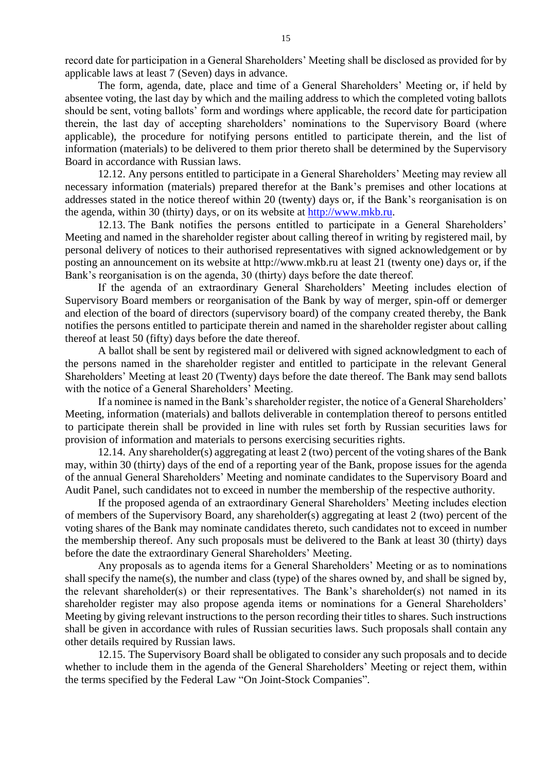record date for participation in a General Shareholders' Meeting shall be disclosed as provided for by applicable laws at least 7 (Seven) days in advance.

The form, agenda, date, place and time of a General Shareholders' Meeting or, if held by absentee voting, the last day by which and the mailing address to which the completed voting ballots should be sent, voting ballots' form and wordings where applicable, the record date for participation therein, the last day of accepting shareholders' nominations to the Supervisory Board (where applicable), the procedure for notifying persons entitled to participate therein, and the list of information (materials) to be delivered to them prior thereto shall be determined by the Supervisory Board in accordance with Russian laws.

12.12. Any persons entitled to participate in a General Shareholders' Meeting may review all necessary information (materials) prepared therefor at the Bank's premises and other locations at addresses stated in the notice thereof within 20 (twenty) days or, if the Bank's reorganisation is on the agenda, within 30 (thirty) days, or on its website at [http://www.mkb.ru.](http://www.mkb.ru/)

12.13. The Bank notifies the persons entitled to participate in a General Shareholders' Meeting and named in the shareholder register about calling thereof in writing by registered mail, by personal delivery of notices to their authorised representatives with signed acknowledgement or by posting an announcement on its website at http://www.mkb.ru at least 21 (twenty one) days or, if the Bank's reorganisation is on the agenda, 30 (thirty) days before the date thereof.

If the agenda of an extraordinary General Shareholders' Meeting includes election of Supervisory Board members or reorganisation of the Bank by way of merger, spin-off or demerger and election of the board of directors (supervisory board) of the company created thereby, the Bank notifies the persons entitled to participate therein and named in the shareholder register about calling thereof at least 50 (fifty) days before the date thereof.

A ballot shall be sent by registered mail or delivered with signed acknowledgment to each of the persons named in the shareholder register and entitled to participate in the relevant General Shareholders' Meeting at least 20 (Twenty) days before the date thereof. The Bank may send ballots with the notice of a General Shareholders' Meeting.

If a nominee is named in the Bank's shareholder register, the notice of a General Shareholders' Meeting, information (materials) and ballots deliverable in contemplation thereof to persons entitled to participate therein shall be provided in line with rules set forth by Russian securities laws for provision of information and materials to persons exercising securities rights.

12.14. Any shareholder(s) aggregating at least 2 (two) percent of the voting shares of the Bank may, within 30 (thirty) days of the end of a reporting year of the Bank, propose issues for the agenda of the annual General Shareholders' Meeting and nominate candidates to the Supervisory Board and Audit Panel, such candidates not to exceed in number the membership of the respective authority.

If the proposed agenda of an extraordinary General Shareholders' Meeting includes election of members of the Supervisory Board, any shareholder(s) aggregating at least 2 (two) percent of the voting shares of the Bank may nominate candidates thereto, such candidates not to exceed in number the membership thereof. Any such proposals must be delivered to the Bank at least 30 (thirty) days before the date the extraordinary General Shareholders' Meeting.

Any proposals as to agenda items for a General Shareholders' Meeting or as to nominations shall specify the name(s), the number and class (type) of the shares owned by, and shall be signed by, the relevant shareholder(s) or their representatives. The Bank's shareholder(s) not named in its shareholder register may also propose agenda items or nominations for a General Shareholders' Meeting by giving relevant instructions to the person recording their titles to shares. Such instructions shall be given in accordance with rules of Russian securities laws. Such proposals shall contain any other details required by Russian laws.

12.15. The Supervisory Board shall be obligated to consider any such proposals and to decide whether to include them in the agenda of the General Shareholders' Meeting or reject them, within the terms specified by the Federal Law "On Joint-Stock Companies".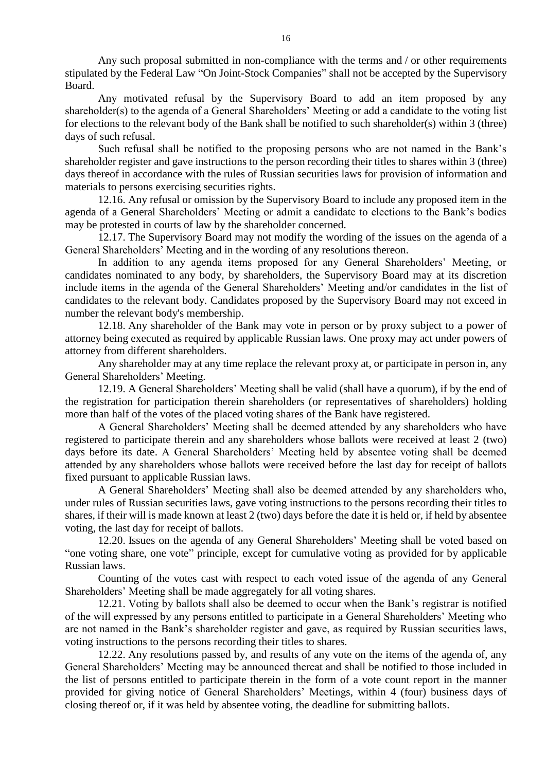Any such proposal submitted in non-compliance with the terms and / or other requirements stipulated by the Federal Law "On Joint-Stock Companies" shall not be accepted by the Supervisory Board.

Any motivated refusal by the Supervisory Board to add an item proposed by any shareholder(s) to the agenda of a General Shareholders' Meeting or add a candidate to the voting list for elections to the relevant body of the Bank shall be notified to such shareholder(s) within 3 (three) days of such refusal.

Such refusal shall be notified to the proposing persons who are not named in the Bank's shareholder register and gave instructions to the person recording their titles to shares within 3 (three) days thereof in accordance with the rules of Russian securities laws for provision of information and materials to persons exercising securities rights.

12.16. Any refusal or omission by the Supervisory Board to include any proposed item in the agenda of a General Shareholders' Meeting or admit a candidate to elections to the Bank's bodies may be protested in courts of law by the shareholder concerned.

12.17. The Supervisory Board may not modify the wording of the issues on the agenda of a General Shareholders' Meeting and in the wording of any resolutions thereon.

In addition to any agenda items proposed for any General Shareholders' Meeting, or candidates nominated to any body, by shareholders, the Supervisory Board may at its discretion include items in the agenda of the General Shareholders' Meeting and/or candidates in the list of candidates to the relevant body. Candidates proposed by the Supervisory Board may not exceed in number the relevant body's membership.

12.18. Any shareholder of the Bank may vote in person or by proxy subject to a power of attorney being executed as required by applicable Russian laws. One proxy may act under powers of attorney from different shareholders.

Any shareholder may at any time replace the relevant proxy at, or participate in person in, any General Shareholders' Meeting.

12.19. A General Shareholders' Meeting shall be valid (shall have a quorum), if by the end of the registration for participation therein shareholders (or representatives of shareholders) holding more than half of the votes of the placed voting shares of the Bank have registered.

A General Shareholders' Meeting shall be deemed attended by any shareholders who have registered to participate therein and any shareholders whose ballots were received at least 2 (two) days before its date. A General Shareholders' Meeting held by absentee voting shall be deemed attended by any shareholders whose ballots were received before the last day for receipt of ballots fixed pursuant to applicable Russian laws.

A General Shareholders' Meeting shall also be deemed attended by any shareholders who, under rules of Russian securities laws, gave voting instructions to the persons recording their titles to shares, if their will is made known at least 2 (two) days before the date it is held or, if held by absentee voting, the last day for receipt of ballots.

12.20. Issues on the agenda of any General Shareholders' Meeting shall be voted based on "one voting share, one vote" principle, except for cumulative voting as provided for by applicable Russian laws.

Counting of the votes cast with respect to each voted issue of the agenda of any General Shareholders' Meeting shall be made aggregately for all voting shares.

12.21. Voting by ballots shall also be deemed to occur when the Bank's registrar is notified of the will expressed by any persons entitled to participate in a General Shareholders' Meeting who are not named in the Bank's shareholder register and gave, as required by Russian securities laws, voting instructions to the persons recording their titles to shares.

12.22. Any resolutions passed by, and results of any vote on the items of the agenda of, any General Shareholders' Meeting may be announced thereat and shall be notified to those included in the list of persons entitled to participate therein in the form of a vote count report in the manner provided for giving notice of General Shareholders' Meetings, within 4 (four) business days of closing thereof or, if it was held by absentee voting, the deadline for submitting ballots.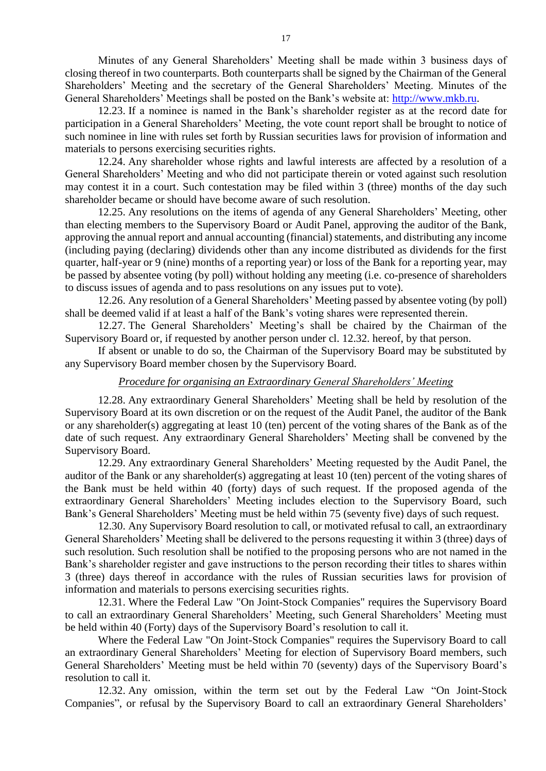Minutes of any General Shareholders' Meeting shall be made within 3 business days of closing thereof in two counterparts. Both counterparts shall be signed by the Chairman of the General Shareholders' Meeting and the secretary of the General Shareholders' Meeting. Minutes of the General Shareholders' Meetings shall be posted on the Bank's website at: [http://www.mkb.ru.](http://www.mkb.ru/)

12.23. If a nominee is named in the Bank's shareholder register as at the record date for participation in a General Shareholders' Meeting, the vote count report shall be brought to notice of such nominee in line with rules set forth by Russian securities laws for provision of information and materials to persons exercising securities rights.

12.24. Any shareholder whose rights and lawful interests are affected by a resolution of a General Shareholders' Meeting and who did not participate therein or voted against such resolution may contest it in a court. Such contestation may be filed within 3 (three) months of the day such shareholder became or should have become aware of such resolution.

12.25. Any resolutions on the items of agenda of any General Shareholders' Meeting, other than electing members to the Supervisory Board or Audit Panel, approving the auditor of the Bank, approving the annual report and annual accounting (financial) statements, and distributing any income (including paying (declaring) dividends other than any income distributed as dividends for the first quarter, half-year or 9 (nine) months of a reporting year) or loss of the Bank for a reporting year, may be passed by absentee voting (by poll) without holding any meeting (i.e. co-presence of shareholders to discuss issues of agenda and to pass resolutions on any issues put to vote).

12.26. Any resolution of a General Shareholders' Meeting passed by absentee voting (by poll) shall be deemed valid if at least a half of the Bank's voting shares were represented therein.

12.27. The General Shareholders' Meeting's shall be chaired by the Chairman of the Supervisory Board or, if requested by another person under cl. 12.32. hereof, by that person.

If absent or unable to do so, the Chairman of the Supervisory Board may be substituted by any Supervisory Board member chosen by the Supervisory Board.

## *Procedure for organising an Extraordinary General Shareholders' Meeting*

12.28. Any extraordinary General Shareholders' Meeting shall be held by resolution of the Supervisory Board at its own discretion or on the request of the Audit Panel, the auditor of the Bank or any shareholder(s) aggregating at least 10 (ten) percent of the voting shares of the Bank as of the date of such request. Any extraordinary General Shareholders' Meeting shall be convened by the Supervisory Board.

12.29. Any extraordinary General Shareholders' Meeting requested by the Audit Panel, the auditor of the Bank or any shareholder(s) aggregating at least 10 (ten) percent of the voting shares of the Bank must be held within 40 (forty) days of such request. If the proposed agenda of the extraordinary General Shareholders' Meeting includes election to the Supervisory Board, such Bank's General Shareholders' Meeting must be held within 75 (seventy five) days of such request.

12.30. Any Supervisory Board resolution to call, or motivated refusal to call, an extraordinary General Shareholders' Meeting shall be delivered to the persons requesting it within 3 (three) days of such resolution. Such resolution shall be notified to the proposing persons who are not named in the Bank's shareholder register and gave instructions to the person recording their titles to shares within 3 (three) days thereof in accordance with the rules of Russian securities laws for provision of information and materials to persons exercising securities rights.

12.31. Where the Federal Law "On Joint-Stock Companies" requires the Supervisory Board to call an extraordinary General Shareholders' Meeting, such General Shareholders' Meeting must be held within 40 (Forty) days of the Supervisory Board's resolution to call it.

Where the Federal Law "On Joint-Stock Companies" requires the Supervisory Board to call an extraordinary General Shareholders' Meeting for election of Supervisory Board members, such General Shareholders' Meeting must be held within 70 (seventy) days of the Supervisory Board's resolution to call it.

12.32. Any omission, within the term set out by the Federal Law "On Joint-Stock Companies", or refusal by the Supervisory Board to call an extraordinary General Shareholders'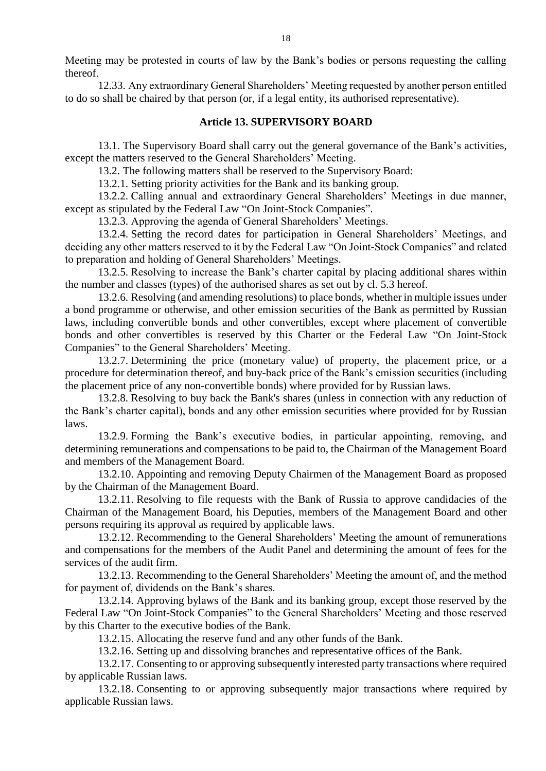Meeting may be protested in courts of law by the Bank's bodies or persons requesting the calling thereof.

12.33. Any extraordinary General Shareholders' Meeting requested by another person entitled to do so shall be chaired by that person (or, if a legal entity, its authorised representative).

#### **Article 13. SUPERVISORY BOARD**

13.1. The Supervisory Board shall carry out the general governance of the Bank's activities, except the matters reserved to the General Shareholders' Meeting.

13.2. The following matters shall be reserved to the Supervisory Board:

13.2.1. Setting priority activities for the Bank and its banking group.

13.2.2. Calling annual and extraordinary General Shareholders' Meetings in due manner, except as stipulated by the Federal Law "On Joint-Stock Companies".

13.2.3. Approving the agenda of General Shareholders' Meetings.

13.2.4. Setting the record dates for participation in General Shareholders' Meetings, and deciding any other matters reserved to it by the Federal Law "On Joint-Stock Companies" and related to preparation and holding of General Shareholders' Meetings.

13.2.5. Resolving to increase the Bank's charter capital by placing additional shares within the number and classes (types) of the authorised shares as set out by cl. 5.3 hereof.

13.2.6. Resolving (and amending resolutions) to place bonds, whether in multiple issues under a bond programme or otherwise, and other emission securities of the Bank as permitted by Russian laws, including convertible bonds and other convertibles, except where placement of convertible bonds and other convertibles is reserved by this Charter or the Federal Law "On Joint-Stock Companies" to the General Shareholders' Meeting.

13.2.7. Determining the price (monetary value) of property, the placement price, or a procedure for determination thereof, and buy-back price of the Bank's emission securities (including the placement price of any non-convertible bonds) where provided for by Russian laws.

13.2.8. Resolving to buy back the Bank's shares (unless in connection with any reduction of the Bank's charter capital), bonds and any other emission securities where provided for by Russian laws.

13.2.9. Forming the Bank's executive bodies, in particular appointing, removing, and determining remunerations and compensations to be paid to, the Chairman of the Management Board and members of the Management Board.

13.2.10. Appointing and removing Deputy Chairmen of the Management Board as proposed by the Chairman of the Management Board.

13.2.11. Resolving to file requests with the Bank of Russia to approve candidacies of the Chairman of the Management Board, his Deputies, members of the Management Board and other persons requiring its approval as required by applicable laws.

13.2.12. Recommending to the General Shareholders' Meeting the amount of remunerations and compensations for the members of the Audit Panel and determining the amount of fees for the services of the audit firm.

13.2.13. Recommending to the General Shareholders' Meeting the amount of, and the method for payment of, dividends on the Bank's shares.

13.2.14. Approving bylaws of the Bank and its banking group, except those reserved by the Federal Law "On Joint-Stock Companies" to the General Shareholders' Meeting and those reserved by this Charter to the executive bodies of the Bank.

13.2.15. Allocating the reserve fund and any other funds of the Bank.

13.2.16. Setting up and dissolving branches and representative offices of the Bank.

13.2.17. Consenting to or approving subsequently interested party transactions where required by applicable Russian laws.

13.2.18. Consenting to or approving subsequently major transactions where required by applicable Russian laws.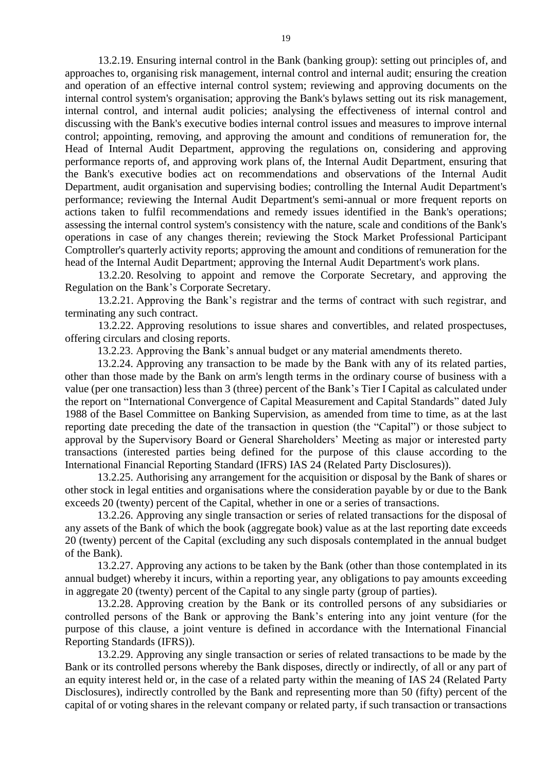13.2.19. Ensuring internal control in the Bank (banking group): setting out principles of, and approaches to, organising risk management, internal control and internal audit; ensuring the creation and operation of an effective internal control system; reviewing and approving documents on the internal control system's organisation; approving the Bank's bylaws setting out its risk management, internal control, and internal audit policies; analysing the effectiveness of internal control and discussing with the Bank's executive bodies internal control issues and measures to improve internal control; appointing, removing, and approving the amount and conditions of remuneration for, the Head of Internal Audit Department, approving the regulations on, considering and approving performance reports of, and approving work plans of, the Internal Audit Department, ensuring that the Bank's executive bodies act on recommendations and observations of the Internal Audit Department, audit organisation and supervising bodies; controlling the Internal Audit Department's performance; reviewing the Internal Audit Department's semi-annual or more frequent reports on actions taken to fulfil recommendations and remedy issues identified in the Bank's operations; assessing the internal control system's consistency with the nature, scale and conditions of the Bank's operations in case of any changes therein; reviewing the Stock Market Professional Participant Comptroller's quarterly activity reports; approving the amount and conditions of remuneration for the head of the Internal Audit Department; approving the Internal Audit Department's work plans.

13.2.20. Resolving to appoint and remove the Corporate Secretary, and approving the Regulation on the Bank's Corporate Secretary.

13.2.21. Approving the Bank's registrar and the terms of contract with such registrar, and terminating any such contract.

13.2.22. Approving resolutions to issue shares and convertibles, and related prospectuses, offering circulars and closing reports.

13.2.23. Approving the Bank's annual budget or any material amendments thereto.

13.2.24. Approving any transaction to be made by the Bank with any of its related parties, other than those made by the Bank on arm's length terms in the ordinary course of business with a value (per one transaction) less than 3 (three) percent of the Bank's Tier I Capital as calculated under the report on "International Convergence of Capital Measurement and Capital Standards" dated July 1988 of the Basel Committee on Banking Supervision, as amended from time to time, as at the last reporting date preceding the date of the transaction in question (the "Capital") or those subject to approval by the Supervisory Board or General Shareholders' Meeting as major or interested party transactions (interested parties being defined for the purpose of this clause according to the International Financial Reporting Standard (IFRS) IAS 24 (Related Party Disclosures)).

13.2.25. Authorising any arrangement for the acquisition or disposal by the Bank of shares or other stock in legal entities and organisations where the consideration payable by or due to the Bank exceeds 20 (twenty) percent of the Capital, whether in one or a series of transactions.

13.2.26. Approving any single transaction or series of related transactions for the disposal of any assets of the Bank of which the book (aggregate book) value as at the last reporting date exceeds 20 (twenty) percent of the Capital (excluding any such disposals contemplated in the annual budget of the Bank).

13.2.27. Approving any actions to be taken by the Bank (other than those contemplated in its annual budget) whereby it incurs, within a reporting year, any obligations to pay amounts exceeding in aggregate 20 (twenty) percent of the Capital to any single party (group of parties).

13.2.28. Approving creation by the Bank or its controlled persons of any subsidiaries or controlled persons of the Bank or approving the Bank's entering into any joint venture (for the purpose of this clause, a joint venture is defined in accordance with the International Financial Reporting Standards (IFRS)).

13.2.29. Approving any single transaction or series of related transactions to be made by the Bank or its controlled persons whereby the Bank disposes, directly or indirectly, of all or any part of an equity interest held or, in the case of a related party within the meaning of IAS 24 (Related Party Disclosures), indirectly controlled by the Bank and representing more than 50 (fifty) percent of the capital of or voting shares in the relevant company or related party, if such transaction or transactions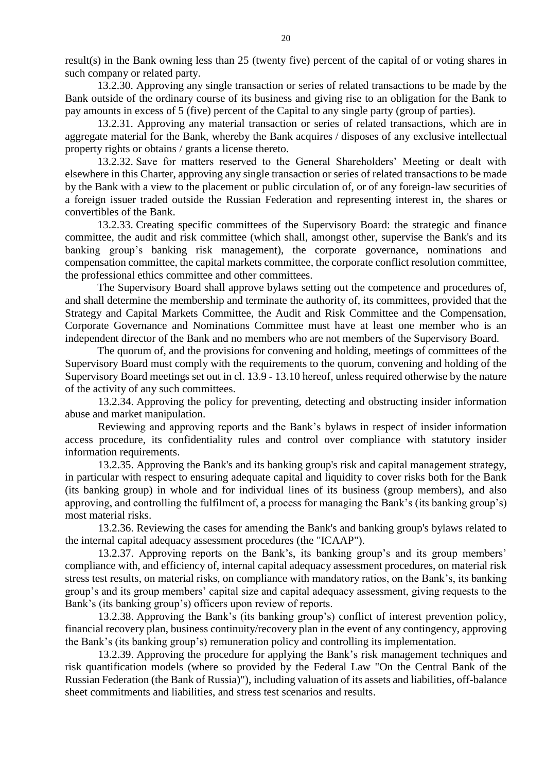result(s) in the Bank owning less than 25 (twenty five) percent of the capital of or voting shares in such company or related party.

13.2.30. Approving any single transaction or series of related transactions to be made by the Bank outside of the ordinary course of its business and giving rise to an obligation for the Bank to pay amounts in excess of 5 (five) percent of the Capital to any single party (group of parties).

13.2.31. Approving any material transaction or series of related transactions, which are in aggregate material for the Bank, whereby the Bank acquires / disposes of any exclusive intellectual property rights or obtains / grants a license thereto.

13.2.32. Save for matters reserved to the General Shareholders' Meeting or dealt with elsewhere in this Charter, approving any single transaction or series of related transactions to be made by the Bank with a view to the placement or public circulation of, or of any foreign-law securities of a foreign issuer traded outside the Russian Federation and representing interest in, the shares or convertibles of the Bank.

13.2.33. Creating specific committees of the Supervisory Board: the strategic and finance committee, the audit and risk committee (which shall, amongst other, supervise the Bank's and its banking group's banking risk management), the corporate governance, nominations and compensation committee, the capital markets committee, the corporate conflict resolution committee, the professional ethics committee and other committees.

The Supervisory Board shall approve bylaws setting out the competence and procedures of, and shall determine the membership and terminate the authority of, its committees, provided that the Strategy and Capital Markets Committee, the Audit and Risk Committee and the Compensation, Corporate Governance and Nominations Committee must have at least one member who is an independent director of the Bank and no members who are not members of the Supervisory Board.

The quorum of, and the provisions for convening and holding, meetings of committees of the Supervisory Board must comply with the requirements to the quorum, convening and holding of the Supervisory Board meetings set out in cl. 13.9 - 13.10 hereof, unless required otherwise by the nature of the activity of any such committees.

13.2.34. Approving the policy for preventing, detecting and obstructing insider information abuse and market manipulation.

Reviewing and approving reports and the Bank's bylaws in respect of insider information access procedure, its confidentiality rules and control over compliance with statutory insider information requirements.

13.2.35. Approving the Bank's and its banking group's risk and capital management strategy, in particular with respect to ensuring adequate capital and liquidity to cover risks both for the Bank (its banking group) in whole and for individual lines of its business (group members), and also approving, and controlling the fulfilment of, a process for managing the Bank's (its banking group's) most material risks.

13.2.36. Reviewing the cases for amending the Bank's and banking group's bylaws related to the internal capital adequacy assessment procedures (the "ICAAP").

13.2.37. Approving reports on the Bank's, its banking group's and its group members' compliance with, and efficiency of, internal capital adequacy assessment procedures, on material risk stress test results, on material risks, on compliance with mandatory ratios, on the Bank's, its banking group's and its group members' capital size and capital adequacy assessment, giving requests to the Bank's (its banking group's) officers upon review of reports.

13.2.38. Approving the Bank's (its banking group's) conflict of interest prevention policy, financial recovery plan, business continuity/recovery plan in the event of any contingency, approving the Bank's (its banking group's) remuneration policy and controlling its implementation.

13.2.39. Approving the procedure for applying the Bank's risk management techniques and risk quantification models (where so provided by the Federal Law "On the Central Bank of the Russian Federation (the Bank of Russia)"), including valuation of its assets and liabilities, off-balance sheet commitments and liabilities, and stress test scenarios and results.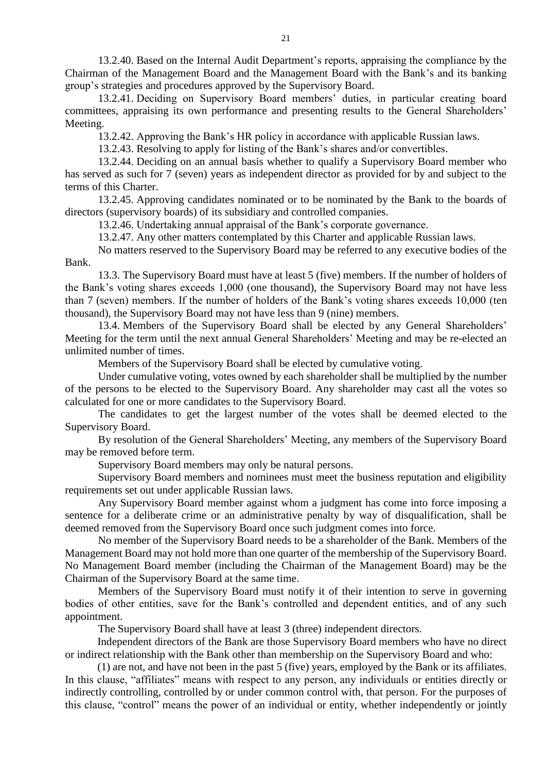13.2.40. Based on the Internal Audit Department's reports, appraising the compliance by the Chairman of the Management Board and the Management Board with the Bank's and its banking group's strategies and procedures approved by the Supervisory Board.

13.2.41. Deciding on Supervisory Board members' duties, in particular creating board committees, appraising its own performance and presenting results to the General Shareholders' Meeting.

13.2.42. Approving the Bank's HR policy in accordance with applicable Russian laws.

13.2.43. Resolving to apply for listing of the Bank's shares and/or convertibles.

13.2.44. Deciding on an annual basis whether to qualify a Supervisory Board member who has served as such for 7 (seven) years as independent director as provided for by and subject to the terms of this Charter.

13.2.45. Approving candidates nominated or to be nominated by the Bank to the boards of directors (supervisory boards) of its subsidiary and controlled companies.

13.2.46. Undertaking annual appraisal of the Bank's corporate governance.

13.2.47. Any other matters contemplated by this Charter and applicable Russian laws.

No matters reserved to the Supervisory Board may be referred to any executive bodies of the Bank.

13.3. The Supervisory Board must have at least 5 (five) members. If the number of holders of the Bank's voting shares exceeds 1,000 (one thousand), the Supervisory Board may not have less than 7 (seven) members. If the number of holders of the Bank's voting shares exceeds 10,000 (ten thousand), the Supervisory Board may not have less than 9 (nine) members.

13.4. Members of the Supervisory Board shall be elected by any General Shareholders' Meeting for the term until the next annual General Shareholders' Meeting and may be re-elected an unlimited number of times.

Members of the Supervisory Board shall be elected by cumulative voting.

Under cumulative voting, votes owned by each shareholder shall be multiplied by the number of the persons to be elected to the Supervisory Board. Any shareholder may cast all the votes so calculated for one or more candidates to the Supervisory Board.

The candidates to get the largest number of the votes shall be deemed elected to the Supervisory Board.

By resolution of the General Shareholders' Meeting, any members of the Supervisory Board may be removed before term.

Supervisory Board members may only be natural persons.

Supervisory Board members and nominees must meet the business reputation and eligibility requirements set out under applicable Russian laws.

Any Supervisory Board member against whom a judgment has come into force imposing a sentence for a deliberate crime or an administrative penalty by way of disqualification, shall be deemed removed from the Supervisory Board once such judgment comes into force.

No member of the Supervisory Board needs to be a shareholder of the Bank. Members of the Management Board may not hold more than one quarter of the membership of the Supervisory Board. No Management Board member (including the Chairman of the Management Board) may be the Chairman of the Supervisory Board at the same time.

Members of the Supervisory Board must notify it of their intention to serve in governing bodies of other entities, save for the Bank's controlled and dependent entities, and of any such appointment.

The Supervisory Board shall have at least 3 (three) independent directors.

Independent directors of the Bank are those Supervisory Board members who have no direct or indirect relationship with the Bank other than membership on the Supervisory Board and who:

(1) are not, and have not been in the past 5 (five) years, employed by the Bank or its affiliates. In this clause, "affiliates" means with respect to any person, any individuals or entities directly or indirectly controlling, controlled by or under common control with, that person. For the purposes of this clause, "control" means the power of an individual or entity, whether independently or jointly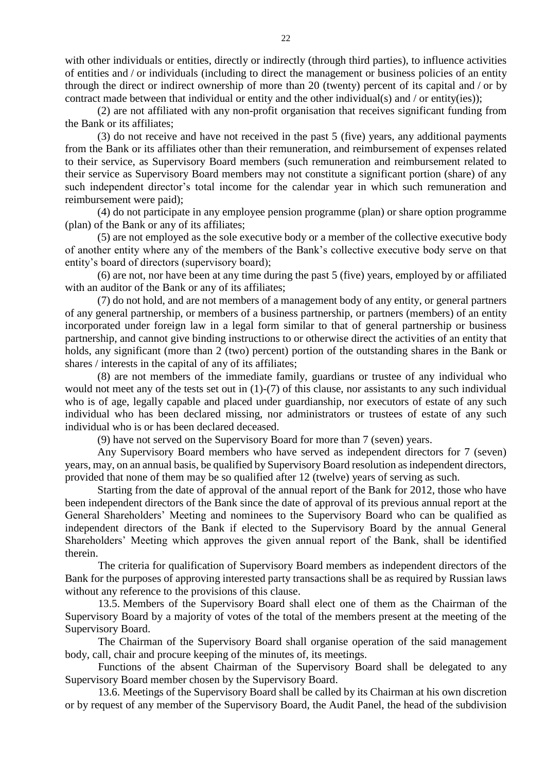with other individuals or entities, directly or indirectly (through third parties), to influence activities of entities and / or individuals (including to direct the management or business policies of an entity through the direct or indirect ownership of more than 20 (twenty) percent of its capital and / or by contract made between that individual or entity and the other individual(s) and / or entity(ies));

(2) are not affiliated with any non-profit organisation that receives significant funding from the Bank or its affiliates;

(3) do not receive and have not received in the past 5 (five) years, any additional payments from the Bank or its affiliates other than their remuneration, and reimbursement of expenses related to their service, as Supervisory Board members (such remuneration and reimbursement related to their service as Supervisory Board members may not constitute a significant portion (share) of any such independent director's total income for the calendar year in which such remuneration and reimbursement were paid);

(4) do not participate in any employee pension programme (plan) or share option programme (plan) of the Bank or any of its affiliates;

(5) are not employed as the sole executive body or a member of the collective executive body of another entity where any of the members of the Bank's collective executive body serve on that entity's board of directors (supervisory board);

(6) are not, nor have been at any time during the past 5 (five) years, employed by or affiliated with an auditor of the Bank or any of its affiliates;

(7) do not hold, and are not members of a management body of any entity, or general partners of any general partnership, or members of a business partnership, or partners (members) of an entity incorporated under foreign law in a legal form similar to that of general partnership or business partnership, and cannot give binding instructions to or otherwise direct the activities of an entity that holds, any significant (more than 2 (two) percent) portion of the outstanding shares in the Bank or shares / interests in the capital of any of its affiliates;

(8) are not members of the immediate family, guardians or trustee of any individual who would not meet any of the tests set out in (1)-(7) of this clause, nor assistants to any such individual who is of age, legally capable and placed under guardianship, nor executors of estate of any such individual who has been declared missing, nor administrators or trustees of estate of any such individual who is or has been declared deceased.

(9) have not served on the Supervisory Board for more than 7 (seven) years.

Any Supervisory Board members who have served as independent directors for 7 (seven) years, may, on an annual basis, be qualified by Supervisory Board resolution as independent directors, provided that none of them may be so qualified after 12 (twelve) years of serving as such.

Starting from the date of approval of the annual report of the Bank for 2012, those who have been independent directors of the Bank since the date of approval of its previous annual report at the General Shareholders' Meeting and nominees to the Supervisory Board who can be qualified as independent directors of the Bank if elected to the Supervisory Board by the annual General Shareholders' Meeting which approves the given annual report of the Bank, shall be identified therein.

The criteria for qualification of Supervisory Board members as independent directors of the Bank for the purposes of approving interested party transactions shall be as required by Russian laws without any reference to the provisions of this clause.

13.5. Members of the Supervisory Board shall elect one of them as the Chairman of the Supervisory Board by a majority of votes of the total of the members present at the meeting of the Supervisory Board.

The Chairman of the Supervisory Board shall organise operation of the said management body, call, chair and procure keeping of the minutes of, its meetings.

Functions of the absent Chairman of the Supervisory Board shall be delegated to any Supervisory Board member chosen by the Supervisory Board.

13.6. Meetings of the Supervisory Board shall be called by its Chairman at his own discretion or by request of any member of the Supervisory Board, the Audit Panel, the head of the subdivision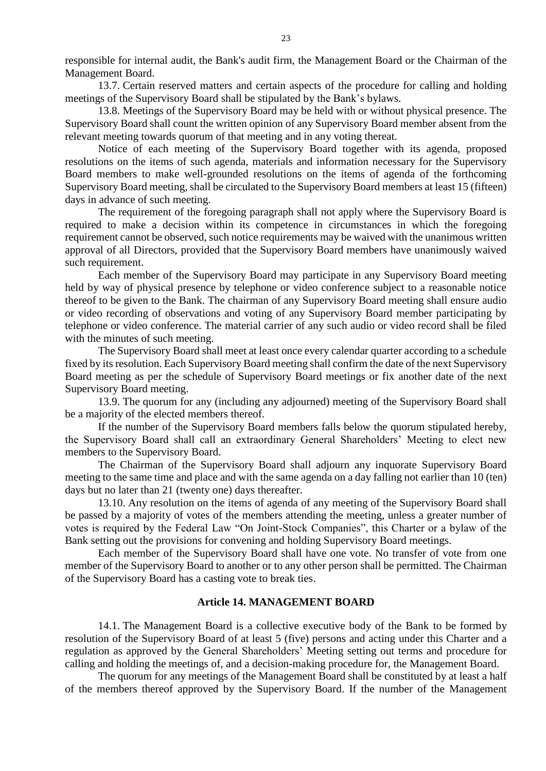responsible for internal audit, the Bank's audit firm, the Management Board or the Chairman of the Management Board.

13.7. Certain reserved matters and certain aspects of the procedure for calling and holding meetings of the Supervisory Board shall be stipulated by the Bank's bylaws.

13.8. Meetings of the Supervisory Board may be held with or without physical presence. The Supervisory Board shall count the written opinion of any Supervisory Board member absent from the relevant meeting towards quorum of that meeting and in any voting thereat.

Notice of each meeting of the Supervisory Board together with its agenda, proposed resolutions on the items of such agenda, materials and information necessary for the Supervisory Board members to make well-grounded resolutions on the items of agenda of the forthcoming Supervisory Board meeting, shall be circulated to the Supervisory Board members at least 15 (fifteen) days in advance of such meeting.

The requirement of the foregoing paragraph shall not apply where the Supervisory Board is required to make a decision within its competence in circumstances in which the foregoing requirement cannot be observed, such notice requirements may be waived with the unanimous written approval of all Directors, provided that the Supervisory Board members have unanimously waived such requirement.

Each member of the Supervisory Board may participate in any Supervisory Board meeting held by way of physical presence by telephone or video conference subject to a reasonable notice thereof to be given to the Bank. The chairman of any Supervisory Board meeting shall ensure audio or video recording of observations and voting of any Supervisory Board member participating by telephone or video conference. The material carrier of any such audio or video record shall be filed with the minutes of such meeting.

The Supervisory Board shall meet at least once every calendar quarter according to a schedule fixed by its resolution. Each Supervisory Board meeting shall confirm the date of the next Supervisory Board meeting as per the schedule of Supervisory Board meetings or fix another date of the next Supervisory Board meeting.

13.9. The quorum for any (including any adjourned) meeting of the Supervisory Board shall be a majority of the elected members thereof.

If the number of the Supervisory Board members falls below the quorum stipulated hereby, the Supervisory Board shall call an extraordinary General Shareholders' Meeting to elect new members to the Supervisory Board.

The Chairman of the Supervisory Board shall adjourn any inquorate Supervisory Board meeting to the same time and place and with the same agenda on a day falling not earlier than 10 (ten) days but no later than 21 (twenty one) days thereafter.

13.10. Any resolution on the items of agenda of any meeting of the Supervisory Board shall be passed by a majority of votes of the members attending the meeting, unless a greater number of votes is required by the Federal Law "On Joint-Stock Companies", this Charter or a bylaw of the Bank setting out the provisions for convening and holding Supervisory Board meetings.

Each member of the Supervisory Board shall have one vote. No transfer of vote from one member of the Supervisory Board to another or to any other person shall be permitted. The Chairman of the Supervisory Board has a casting vote to break ties.

#### **Article 14. MANAGEMENT BOARD**

14.1. The Management Board is a collective executive body of the Bank to be formed by resolution of the Supervisory Board of at least 5 (five) persons and acting under this Charter and a regulation as approved by the General Shareholders' Meeting setting out terms and procedure for calling and holding the meetings of, and a decision-making procedure for, the Management Board.

The quorum for any meetings of the Management Board shall be constituted by at least a half of the members thereof approved by the Supervisory Board. If the number of the Management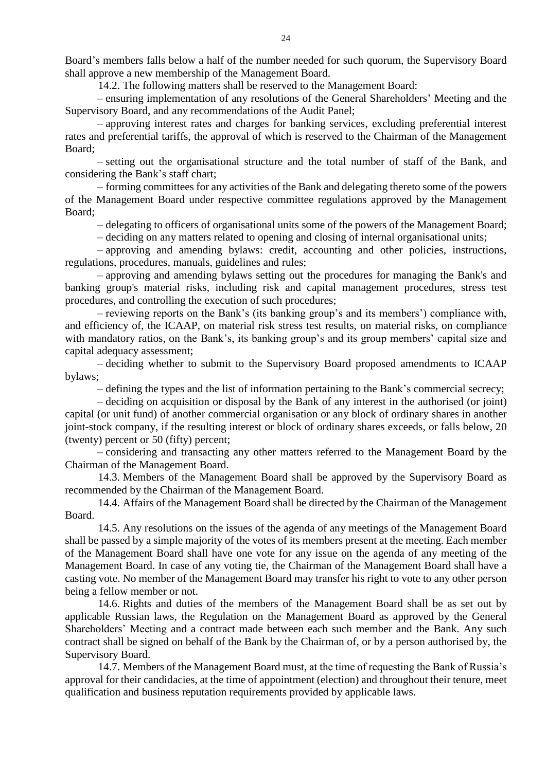Board's members falls below a half of the number needed for such quorum, the Supervisory Board shall approve a new membership of the Management Board.

14.2. The following matters shall be reserved to the Management Board:

– ensuring implementation of any resolutions of the General Shareholders' Meeting and the Supervisory Board, and any recommendations of the Audit Panel;

– approving interest rates and charges for banking services, excluding preferential interest rates and preferential tariffs, the approval of which is reserved to the Chairman of the Management Board;

– setting out the organisational structure and the total number of staff of the Bank, and considering the Bank's staff chart;

– forming committees for any activities of the Bank and delegating thereto some of the powers of the Management Board under respective committee regulations approved by the Management Board;

– delegating to officers of organisational units some of the powers of the Management Board;

– deciding on any matters related to opening and closing of internal organisational units;

– approving and amending bylaws: credit, accounting and other policies, instructions, regulations, procedures, manuals, guidelines and rules;

– approving and amending bylaws setting out the procedures for managing the Bank's and banking group's material risks, including risk and capital management procedures, stress test procedures, and controlling the execution of such procedures;

– reviewing reports on the Bank's (its banking group's and its members') compliance with, and efficiency of, the ICAAP, on material risk stress test results, on material risks, on compliance with mandatory ratios, on the Bank's, its banking group's and its group members' capital size and capital adequacy assessment;

– deciding whether to submit to the Supervisory Board proposed amendments to ICAAP bylaws;

– defining the types and the list of information pertaining to the Bank's commercial secrecy;

– deciding on acquisition or disposal by the Bank of any interest in the authorised (or joint) capital (or unit fund) of another commercial organisation or any block of ordinary shares in another joint-stock company, if the resulting interest or block of ordinary shares exceeds, or falls below, 20 (twenty) percent or 50 (fifty) percent;

– considering and transacting any other matters referred to the Management Board by the Chairman of the Management Board.

14.3. Members of the Management Board shall be approved by the Supervisory Board as recommended by the Chairman of the Management Board.

14.4. Affairs of the Management Board shall be directed by the Chairman of the Management Board.

14.5. Any resolutions on the issues of the agenda of any meetings of the Management Board shall be passed by a simple majority of the votes of its members present at the meeting. Each member of the Management Board shall have one vote for any issue on the agenda of any meeting of the Management Board. In case of any voting tie, the Chairman of the Management Board shall have a casting vote. No member of the Management Board may transfer his right to vote to any other person being a fellow member or not.

14.6. Rights and duties of the members of the Management Board shall be as set out by applicable Russian laws, the Regulation on the Management Board as approved by the General Shareholders' Meeting and a contract made between each such member and the Bank. Any such contract shall be signed on behalf of the Bank by the Chairman of, or by a person authorised by, the Supervisory Board.

14.7. Members of the Management Board must, at the time of requesting the Bank of Russia's approval for their candidacies, at the time of appointment (election) and throughout their tenure, meet qualification and business reputation requirements provided by applicable laws.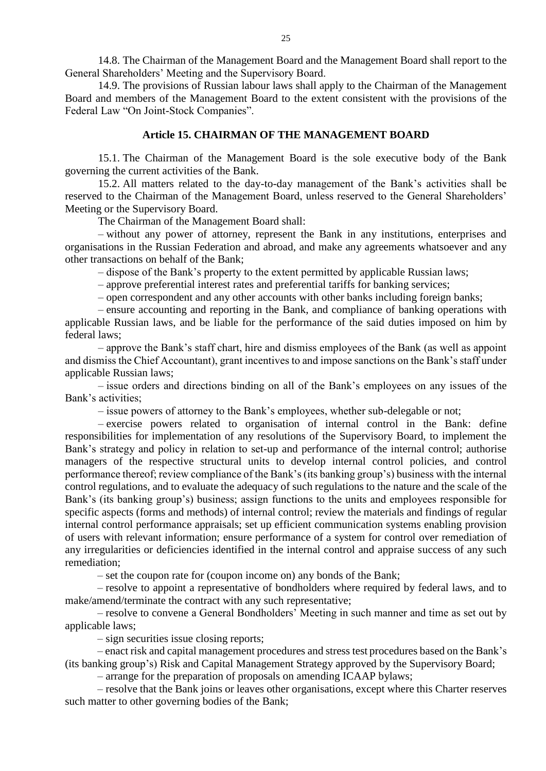14.8. The Chairman of the Management Board and the Management Board shall report to the General Shareholders' Meeting and the Supervisory Board.

14.9. The provisions of Russian labour laws shall apply to the Chairman of the Management Board and members of the Management Board to the extent consistent with the provisions of the Federal Law "On Joint-Stock Companies".

#### **Article 15. CHAIRMAN OF THE MANAGEMENT BOARD**

15.1. The Chairman of the Management Board is the sole executive body of the Bank governing the current activities of the Bank.

15.2. All matters related to the day-to-day management of the Bank's activities shall be reserved to the Chairman of the Management Board, unless reserved to the General Shareholders' Meeting or the Supervisory Board.

The Chairman of the Management Board shall:

– without any power of attorney, represent the Bank in any institutions, enterprises and organisations in the Russian Federation and abroad, and make any agreements whatsoever and any other transactions on behalf of the Bank;

– dispose of the Bank's property to the extent permitted by applicable Russian laws;

– approve preferential interest rates and preferential tariffs for banking services;

– open correspondent and any other accounts with other banks including foreign banks;

– ensure accounting and reporting in the Bank, and compliance of banking operations with applicable Russian laws, and be liable for the performance of the said duties imposed on him by federal laws;

– approve the Bank's staff chart, hire and dismiss employees of the Bank (as well as appoint and dismiss the Chief Accountant), grant incentives to and impose sanctions on the Bank's staff under applicable Russian laws;

– issue orders and directions binding on all of the Bank's employees on any issues of the Bank's activities;

– issue powers of attorney to the Bank's employees, whether sub-delegable or not;

– exercise powers related to organisation of internal control in the Bank: define responsibilities for implementation of any resolutions of the Supervisory Board, to implement the Bank's strategy and policy in relation to set-up and performance of the internal control; authorise managers of the respective structural units to develop internal control policies, and control performance thereof; review compliance of the Bank's (its banking group's) business with the internal control regulations, and to evaluate the adequacy of such regulations to the nature and the scale of the Bank's (its banking group's) business; assign functions to the units and employees responsible for specific aspects (forms and methods) of internal control; review the materials and findings of regular internal control performance appraisals; set up efficient communication systems enabling provision of users with relevant information; ensure performance of a system for control over remediation of any irregularities or deficiencies identified in the internal control and appraise success of any such remediation;

– set the coupon rate for (coupon income on) any bonds of the Bank;

– resolve to appoint a representative of bondholders where required by federal laws, and to make/amend/terminate the contract with any such representative;

– resolve to convene a General Bondholders' Meeting in such manner and time as set out by applicable laws;

– sign securities issue closing reports;

– enact risk and capital management procedures and stress test procedures based on the Bank's (its banking group's) Risk and Capital Management Strategy approved by the Supervisory Board;

– arrange for the preparation of proposals on amending ICAAP bylaws;

– resolve that the Bank joins or leaves other organisations, except where this Charter reserves such matter to other governing bodies of the Bank;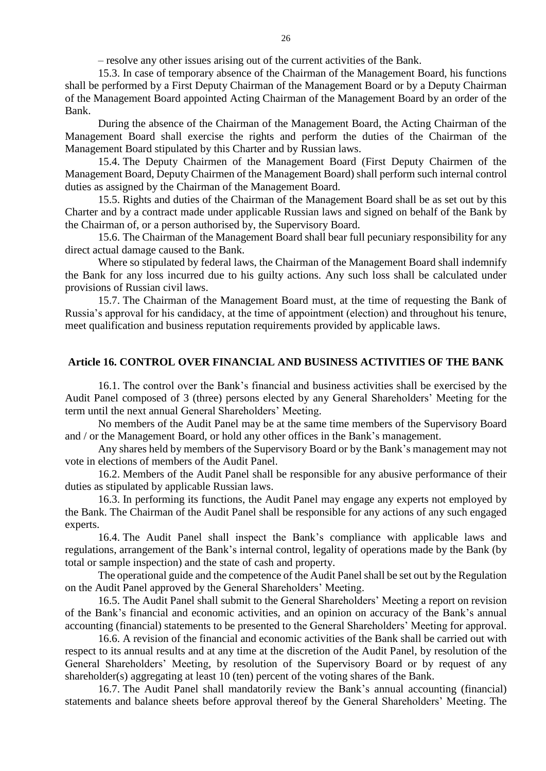– resolve any other issues arising out of the current activities of the Bank.

15.3. In case of temporary absence of the Chairman of the Management Board, his functions shall be performed by a First Deputy Chairman of the Management Board or by a Deputy Chairman of the Management Board appointed Acting Chairman of the Management Board by an order of the Bank.

During the absence of the Chairman of the Management Board, the Acting Chairman of the Management Board shall exercise the rights and perform the duties of the Chairman of the Management Board stipulated by this Charter and by Russian laws.

15.4. The Deputy Chairmen of the Management Board (First Deputy Chairmen of the Management Board, Deputy Chairmen of the Management Board) shall perform such internal control duties as assigned by the Chairman of the Management Board.

15.5. Rights and duties of the Chairman of the Management Board shall be as set out by this Charter and by a contract made under applicable Russian laws and signed on behalf of the Bank by the Chairman of, or a person authorised by, the Supervisory Board.

15.6. The Chairman of the Management Board shall bear full pecuniary responsibility for any direct actual damage caused to the Bank.

Where so stipulated by federal laws, the Chairman of the Management Board shall indemnify the Bank for any loss incurred due to his guilty actions. Any such loss shall be calculated under provisions of Russian civil laws.

15.7. The Chairman of the Management Board must, at the time of requesting the Bank of Russia's approval for his candidacy, at the time of appointment (election) and throughout his tenure, meet qualification and business reputation requirements provided by applicable laws.

#### **Article 16. CONTROL OVER FINANCIAL AND BUSINESS ACTIVITIES OF THE BANK**

16.1. The control over the Bank's financial and business activities shall be exercised by the Audit Panel composed of 3 (three) persons elected by any General Shareholders' Meeting for the term until the next annual General Shareholders' Meeting.

No members of the Audit Panel may be at the same time members of the Supervisory Board and / or the Management Board, or hold any other offices in the Bank's management.

Any shares held by members of the Supervisory Board or by the Bank's management may not vote in elections of members of the Audit Panel.

16.2. Members of the Audit Panel shall be responsible for any abusive performance of their duties as stipulated by applicable Russian laws.

16.3. In performing its functions, the Audit Panel may engage any experts not employed by the Bank. The Chairman of the Audit Panel shall be responsible for any actions of any such engaged experts.

16.4. The Audit Panel shall inspect the Bank's compliance with applicable laws and regulations, arrangement of the Bank's internal control, legality of operations made by the Bank (by total or sample inspection) and the state of cash and property.

The operational guide and the competence of the Audit Panel shall be set out by the Regulation on the Audit Panel approved by the General Shareholders' Meeting.

16.5. The Audit Panel shall submit to the General Shareholders' Meeting a report on revision of the Bank's financial and economic activities, and an opinion on accuracy of the Bank's annual accounting (financial) statements to be presented to the General Shareholders' Meeting for approval.

16.6. A revision of the financial and economic activities of the Bank shall be carried out with respect to its annual results and at any time at the discretion of the Audit Panel, by resolution of the General Shareholders' Meeting, by resolution of the Supervisory Board or by request of any shareholder(s) aggregating at least 10 (ten) percent of the voting shares of the Bank.

16.7. The Audit Panel shall mandatorily review the Bank's annual accounting (financial) statements and balance sheets before approval thereof by the General Shareholders' Meeting. The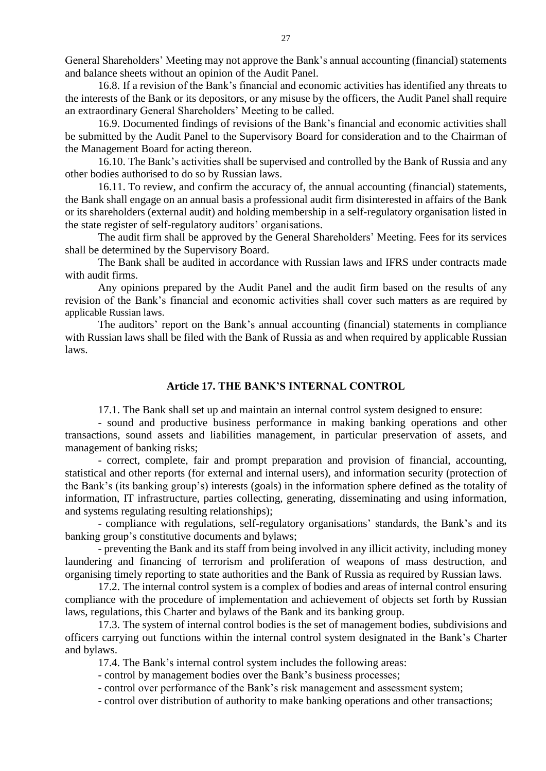General Shareholders' Meeting may not approve the Bank's annual accounting (financial) statements and balance sheets without an opinion of the Audit Panel.

16.8. If a revision of the Bank's financial and economic activities has identified any threats to the interests of the Bank or its depositors, or any misuse by the officers, the Audit Panel shall require an extraordinary General Shareholders' Meeting to be called.

16.9. Documented findings of revisions of the Bank's financial and economic activities shall be submitted by the Audit Panel to the Supervisory Board for consideration and to the Chairman of the Management Board for acting thereon.

16.10. The Bank's activities shall be supervised and controlled by the Bank of Russia and any other bodies authorised to do so by Russian laws.

16.11. To review, and confirm the accuracy of, the annual accounting (financial) statements, the Bank shall engage on an annual basis a professional audit firm disinterested in affairs of the Bank or its shareholders (external audit) and holding membership in a self-regulatory organisation listed in the state register of self-regulatory auditors' organisations.

The audit firm shall be approved by the General Shareholders' Meeting. Fees for its services shall be determined by the Supervisory Board.

The Bank shall be audited in accordance with Russian laws and IFRS under contracts made with audit firms.

Any opinions prepared by the Audit Panel and the audit firm based on the results of any revision of the Bank's financial and economic activities shall cover such matters as are required by applicable Russian laws.

The auditors' report on the Bank's annual accounting (financial) statements in compliance with Russian laws shall be filed with the Bank of Russia as and when required by applicable Russian laws.

## **Article 17. THE BANK'S INTERNAL CONTROL**

17.1. The Bank shall set up and maintain an internal control system designed to ensure:

- sound and productive business performance in making banking operations and other transactions, sound assets and liabilities management, in particular preservation of assets, and management of banking risks;

- correct, complete, fair and prompt preparation and provision of financial, accounting, statistical and other reports (for external and internal users), and information security (protection of the Bank's (its banking group's) interests (goals) in the information sphere defined as the totality of information, IT infrastructure, parties collecting, generating, disseminating and using information, and systems regulating resulting relationships);

- compliance with regulations, self-regulatory organisations' standards, the Bank's and its banking group's constitutive documents and bylaws;

- preventing the Bank and its staff from being involved in any illicit activity, including money laundering and financing of terrorism and proliferation of weapons of mass destruction, and organising timely reporting to state authorities and the Bank of Russia as required by Russian laws.

17.2. The internal control system is a complex of bodies and areas of internal control ensuring compliance with the procedure of implementation and achievement of objects set forth by Russian laws, regulations, this Charter and bylaws of the Bank and its banking group.

17.3. The system of internal control bodies is the set of management bodies, subdivisions and officers carrying out functions within the internal control system designated in the Bank's Charter and bylaws.

17.4. The Bank's internal control system includes the following areas:

- control by management bodies over the Bank's business processes;

- control over performance of the Bank's risk management and assessment system;

- control over distribution of authority to make banking operations and other transactions;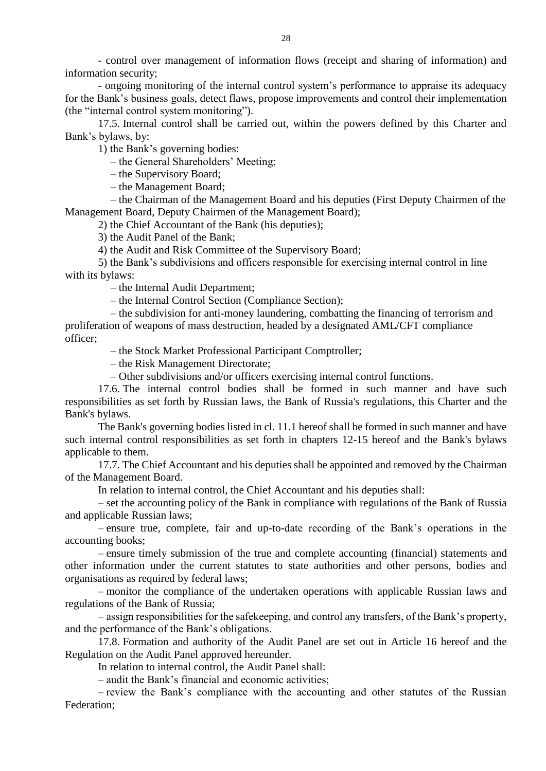- control over management of information flows (receipt and sharing of information) and information security;

- ongoing monitoring of the internal control system's performance to appraise its adequacy for the Bank's business goals, detect flaws, propose improvements and control their implementation (the "internal control system monitoring").

17.5. Internal control shall be carried out, within the powers defined by this Charter and Bank's bylaws, by:

1) the Bank's governing bodies:

– the General Shareholders' Meeting;

– the Supervisory Board;

– the Management Board;

– the Chairman of the Management Board and his deputies (First Deputy Chairmen of the Management Board, Deputy Chairmen of the Management Board);

2) the Chief Accountant of the Bank (his deputies);

3) the Audit Panel of the Bank;

4) the Audit and Risk Committee of the Supervisory Board;

5) the Bank's subdivisions and officers responsible for exercising internal control in line with its bylaws:

– the Internal Audit Department;

– the Internal Control Section (Compliance Section);

– the subdivision for anti-money laundering, combatting the financing of terrorism and proliferation of weapons of mass destruction, headed by a designated AML/CFT compliance officer;

– the Stock Market Professional Participant Comptroller;

– the Risk Management Directorate;

– Other subdivisions and/or officers exercising internal control functions.

17.6. The internal control bodies shall be formed in such manner and have such responsibilities as set forth by Russian laws, the Bank of Russia's regulations, this Charter and the Bank's bylaws.

The Bank's governing bodies listed in cl. 11.1 hereof shall be formed in such manner and have such internal control responsibilities as set forth in chapters 12-15 hereof and the Bank's bylaws applicable to them.

17.7. The Chief Accountant and his deputies shall be appointed and removed by the Chairman of the Management Board.

In relation to internal control, the Chief Accountant and his deputies shall:

– set the accounting policy of the Bank in compliance with regulations of the Bank of Russia and applicable Russian laws;

– ensure true, complete, fair and up-to-date recording of the Bank's operations in the accounting books;

– ensure timely submission of the true and complete accounting (financial) statements and other information under the current statutes to state authorities and other persons, bodies and organisations as required by federal laws;

– monitor the compliance of the undertaken operations with applicable Russian laws and regulations of the Bank of Russia;

– assign responsibilities for the safekeeping, and control any transfers, of the Bank's property, and the performance of the Bank's obligations.

17.8. Formation and authority of the Audit Panel are set out in Article 16 hereof and the Regulation on the Audit Panel approved hereunder.

In relation to internal control, the Audit Panel shall:

– audit the Bank's financial and economic activities;

– review the Bank's compliance with the accounting and other statutes of the Russian Federation;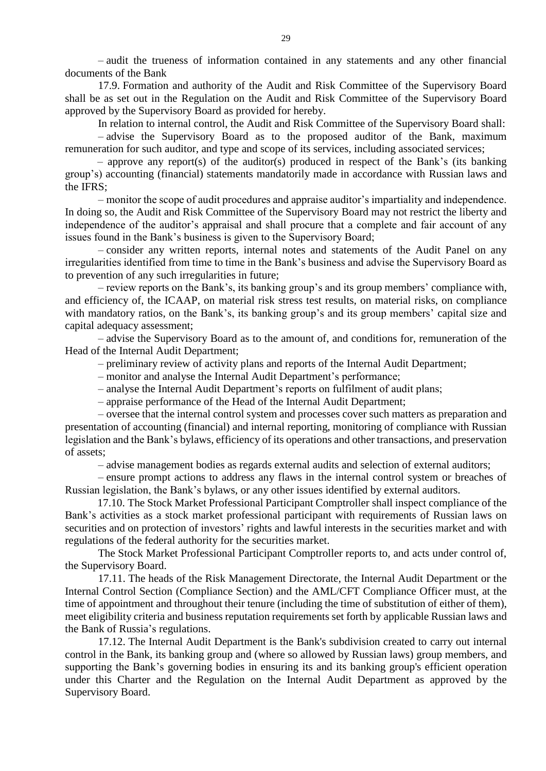– audit the trueness of information contained in any statements and any other financial documents of the Bank

17.9. Formation and authority of the Audit and Risk Committee of the Supervisory Board shall be as set out in the Regulation on the Audit and Risk Committee of the Supervisory Board approved by the Supervisory Board as provided for hereby.

In relation to internal control, the Audit and Risk Committee of the Supervisory Board shall: – advise the Supervisory Board as to the proposed auditor of the Bank, maximum remuneration for such auditor, and type and scope of its services, including associated services;

– approve any report(s) of the auditor(s) produced in respect of the Bank's (its banking group's) accounting (financial) statements mandatorily made in accordance with Russian laws and the IFRS;

– monitor the scope of audit procedures and appraise auditor's impartiality and independence. In doing so, the Audit and Risk Committee of the Supervisory Board may not restrict the liberty and independence of the auditor's appraisal and shall procure that a complete and fair account of any issues found in the Bank's business is given to the Supervisory Board;

– consider any written reports, internal notes and statements of the Audit Panel on any irregularities identified from time to time in the Bank's business and advise the Supervisory Board as to prevention of any such irregularities in future;

– review reports on the Bank's, its banking group's and its group members' compliance with, and efficiency of, the ICAAP, on material risk stress test results, on material risks, on compliance with mandatory ratios, on the Bank's, its banking group's and its group members' capital size and capital adequacy assessment;

– advise the Supervisory Board as to the amount of, and conditions for, remuneration of the Head of the Internal Audit Department;

– preliminary review of activity plans and reports of the Internal Audit Department;

– monitor and analyse the Internal Audit Department's performance;

– analyse the Internal Audit Department's reports on fulfilment of audit plans;

– appraise performance of the Head of the Internal Audit Department;

– oversee that the internal control system and processes cover such matters as preparation and presentation of accounting (financial) and internal reporting, monitoring of compliance with Russian legislation and the Bank's bylaws, efficiency of its operations and other transactions, and preservation of assets;

– advise management bodies as regards external audits and selection of external auditors;

– ensure prompt actions to address any flaws in the internal control system or breaches of Russian legislation, the Bank's bylaws, or any other issues identified by external auditors.

17.10. The Stock Market Professional Participant Comptroller shall inspect compliance of the Bank's activities as a stock market professional participant with requirements of Russian laws on securities and on protection of investors' rights and lawful interests in the securities market and with regulations of the federal authority for the securities market.

The Stock Market Professional Participant Comptroller reports to, and acts under control of, the Supervisory Board.

17.11. The heads of the Risk Management Directorate, the Internal Audit Department or the Internal Control Section (Compliance Section) and the AML/CFT Compliance Officer must, at the time of appointment and throughout their tenure (including the time of substitution of either of them), meet eligibility criteria and business reputation requirements set forth by applicable Russian laws and the Bank of Russia's regulations.

17.12. The Internal Audit Department is the Bank's subdivision created to carry out internal control in the Bank, its banking group and (where so allowed by Russian laws) group members, and supporting the Bank's governing bodies in ensuring its and its banking group's efficient operation under this Charter and the Regulation on the Internal Audit Department as approved by the Supervisory Board.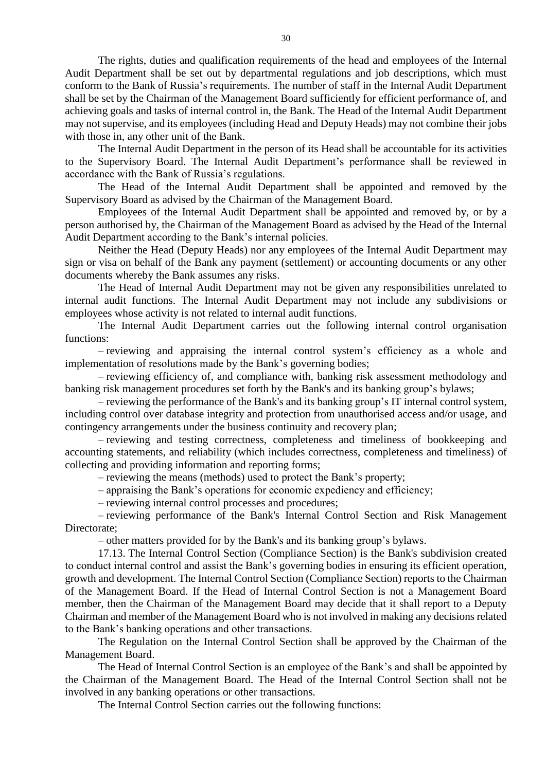The rights, duties and qualification requirements of the head and employees of the Internal Audit Department shall be set out by departmental regulations and job descriptions, which must conform to the Bank of Russia's requirements. The number of staff in the Internal Audit Department shall be set by the Chairman of the Management Board sufficiently for efficient performance of, and achieving goals and tasks of internal control in, the Bank. The Head of the Internal Audit Department may not supervise, and its employees (including Head and Deputy Heads) may not combine their jobs with those in, any other unit of the Bank.

The Internal Audit Department in the person of its Head shall be accountable for its activities to the Supervisory Board. The Internal Audit Department's performance shall be reviewed in accordance with the Bank of Russia's regulations.

The Head of the Internal Audit Department shall be appointed and removed by the Supervisory Board as advised by the Chairman of the Management Board.

Employees of the Internal Audit Department shall be appointed and removed by, or by a person authorised by, the Chairman of the Management Board as advised by the Head of the Internal Audit Department according to the Bank's internal policies.

Neither the Head (Deputy Heads) nor any employees of the Internal Audit Department may sign or visa on behalf of the Bank any payment (settlement) or accounting documents or any other documents whereby the Bank assumes any risks.

The Head of Internal Audit Department may not be given any responsibilities unrelated to internal audit functions. The Internal Audit Department may not include any subdivisions or employees whose activity is not related to internal audit functions.

The Internal Audit Department carries out the following internal control organisation functions:

– reviewing and appraising the internal control system's efficiency as a whole and implementation of resolutions made by the Bank's governing bodies;

– reviewing efficiency of, and compliance with, banking risk assessment methodology and banking risk management procedures set forth by the Bank's and its banking group's bylaws;

– reviewing the performance of the Bank's and its banking group's IT internal control system, including control over database integrity and protection from unauthorised access and/or usage, and contingency arrangements under the business continuity and recovery plan;

– reviewing and testing correctness, completeness and timeliness of bookkeeping and accounting statements, and reliability (which includes correctness, completeness and timeliness) of collecting and providing information and reporting forms;

– reviewing the means (methods) used to protect the Bank's property;

– appraising the Bank's operations for economic expediency and efficiency;

– reviewing internal control processes and procedures;

– reviewing performance of the Bank's Internal Control Section and Risk Management Directorate;

– other matters provided for by the Bank's and its banking group's bylaws.

17.13. The Internal Control Section (Compliance Section) is the Bank's subdivision created to conduct internal control and assist the Bank's governing bodies in ensuring its efficient operation, growth and development. The Internal Control Section (Compliance Section) reports to the Chairman of the Management Board. If the Head of Internal Control Section is not a Management Board member, then the Chairman of the Management Board may decide that it shall report to a Deputy Chairman and member of the Management Board who is not involved in making any decisions related to the Bank's banking operations and other transactions.

The Regulation on the Internal Control Section shall be approved by the Chairman of the Management Board.

The Head of Internal Control Section is an employee of the Bank's and shall be appointed by the Chairman of the Management Board. The Head of the Internal Control Section shall not be involved in any banking operations or other transactions.

The Internal Control Section carries out the following functions: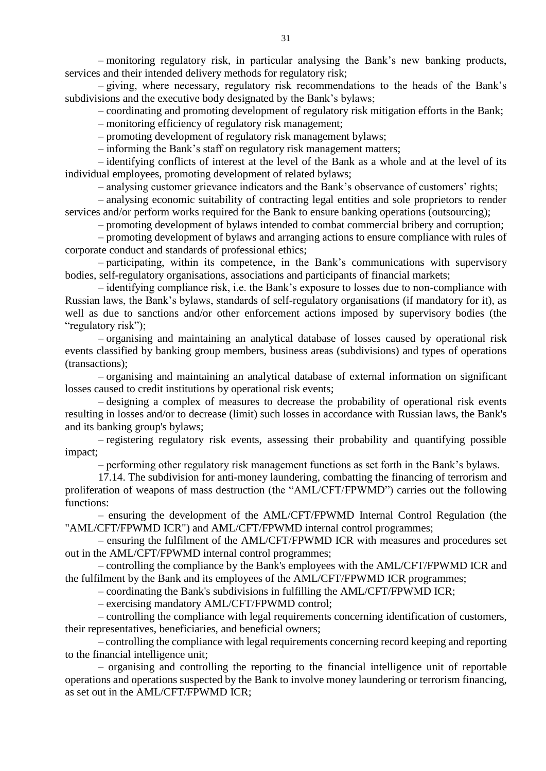– monitoring regulatory risk, in particular analysing the Bank's new banking products, services and their intended delivery methods for regulatory risk;

– giving, where necessary, regulatory risk recommendations to the heads of the Bank's subdivisions and the executive body designated by the Bank's bylaws;

– coordinating and promoting development of regulatory risk mitigation efforts in the Bank;

– monitoring efficiency of regulatory risk management;

– promoting development of regulatory risk management bylaws;

– informing the Bank's staff on regulatory risk management matters;

– identifying conflicts of interest at the level of the Bank as a whole and at the level of its individual employees, promoting development of related bylaws;

– analysing customer grievance indicators and the Bank's observance of customers' rights;

– analysing economic suitability of contracting legal entities and sole proprietors to render services and/or perform works required for the Bank to ensure banking operations (outsourcing);

– promoting development of bylaws intended to combat commercial bribery and corruption;

– promoting development of bylaws and arranging actions to ensure compliance with rules of corporate conduct and standards of professional ethics;

– participating, within its competence, in the Bank's communications with supervisory bodies, self-regulatory organisations, associations and participants of financial markets;

– identifying compliance risk, i.e. the Bank's exposure to losses due to non-compliance with Russian laws, the Bank's bylaws, standards of self-regulatory organisations (if mandatory for it), as well as due to sanctions and/or other enforcement actions imposed by supervisory bodies (the "regulatory risk");

– organising and maintaining an analytical database of losses caused by operational risk events classified by banking group members, business areas (subdivisions) and types of operations (transactions);

– organising and maintaining an analytical database of external information on significant losses caused to credit institutions by operational risk events;

– designing a complex of measures to decrease the probability of operational risk events resulting in losses and/or to decrease (limit) such losses in accordance with Russian laws, the Bank's and its banking group's bylaws;

– registering regulatory risk events, assessing their probability and quantifying possible impact;

– performing other regulatory risk management functions as set forth in the Bank's bylaws.

17.14. The subdivision for anti-money laundering, combatting the financing of terrorism and proliferation of weapons of mass destruction (the "AML/CFT/FPWMD") carries out the following functions:

– ensuring the development of the AML/CFT/FPWMD Internal Control Regulation (the "AML/CFT/FPWMD ICR") and AML/CFT/FPWMD internal control programmes;

– ensuring the fulfilment of the AML/CFT/FPWMD ICR with measures and procedures set out in the AML/CFT/FPWMD internal control programmes;

– controlling the compliance by the Bank's employees with the AML/CFT/FPWMD ICR and the fulfilment by the Bank and its employees of the AML/CFT/FPWMD ICR programmes;

– coordinating the Bank's subdivisions in fulfilling the AML/CFT/FPWMD ICR;

– exercising mandatory AML/CFT/FPWMD control;

– controlling the compliance with legal requirements concerning identification of customers, their representatives, beneficiaries, and beneficial owners;

– controlling the compliance with legal requirements concerning record keeping and reporting to the financial intelligence unit;

– organising and controlling the reporting to the financial intelligence unit of reportable operations and operations suspected by the Bank to involve money laundering or terrorism financing, as set out in the AML/CFT/FPWMD ICR;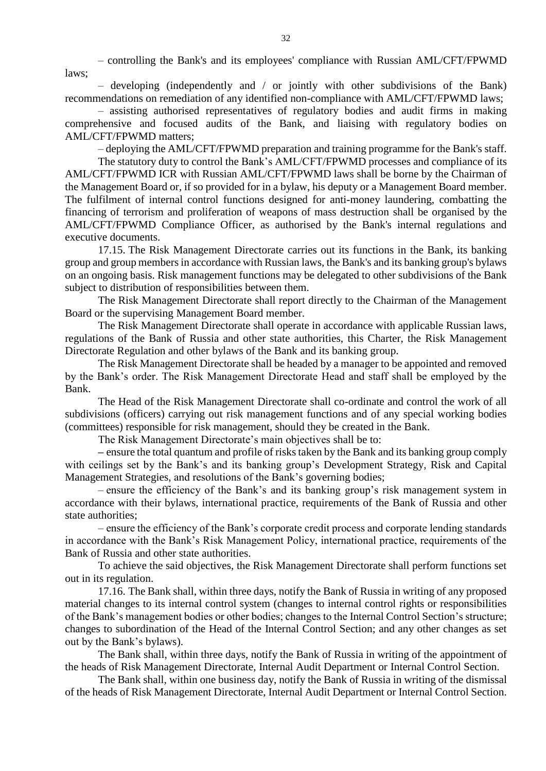– controlling the Bank's and its employees' compliance with Russian AML/CFT/FPWMD laws;

– developing (independently and / or jointly with other subdivisions of the Bank) recommendations on remediation of any identified non-compliance with AML/CFT/FPWMD laws;

– assisting authorised representatives of regulatory bodies and audit firms in making comprehensive and focused audits of the Bank, and liaising with regulatory bodies on AML/CFT/FPWMD matters;

– deploying the AML/CFT/FPWMD preparation and training programme for the Bank's staff.

The statutory duty to control the Bank's AML/CFT/FPWMD processes and compliance of its AML/CFT/FPWMD ICR with Russian AML/CFT/FPWMD laws shall be borne by the Chairman of the Management Board or, if so provided for in a bylaw, his deputy or a Management Board member. The fulfilment of internal control functions designed for anti-money laundering, combatting the financing of terrorism and proliferation of weapons of mass destruction shall be organised by the AML/CFT/FPWMD Compliance Officer, as authorised by the Bank's internal regulations and executive documents.

17.15. The Risk Management Directorate carries out its functions in the Bank, its banking group and group members in accordance with Russian laws, the Bank's and its banking group's bylaws on an ongoing basis. Risk management functions may be delegated to other subdivisions of the Bank subject to distribution of responsibilities between them.

The Risk Management Directorate shall report directly to the Chairman of the Management Board or the supervising Management Board member.

The Risk Management Directorate shall operate in accordance with applicable Russian laws, regulations of the Bank of Russia and other state authorities, this Charter, the Risk Management Directorate Regulation and other bylaws of the Bank and its banking group.

The Risk Management Directorate shall be headed by a manager to be appointed and removed by the Bank's order. The Risk Management Directorate Head and staff shall be employed by the Bank.

The Head of the Risk Management Directorate shall co-ordinate and control the work of all subdivisions (officers) carrying out risk management functions and of any special working bodies (committees) responsible for risk management, should they be created in the Bank.

The Risk Management Directorate's main objectives shall be to:

**–** ensure the total quantum and profile of risks taken by the Bank and its banking group comply with ceilings set by the Bank's and its banking group's Development Strategy, Risk and Capital Management Strategies, and resolutions of the Bank's governing bodies;

– ensure the efficiency of the Bank's and its banking group's risk management system in accordance with their bylaws, international practice, requirements of the Bank of Russia and other state authorities;

– ensure the efficiency of the Bank's corporate credit process and corporate lending standards in accordance with the Bank's Risk Management Policy, international practice, requirements of the Bank of Russia and other state authorities.

To achieve the said objectives, the Risk Management Directorate shall perform functions set out in its regulation.

17.16. The Bank shall, within three days, notify the Bank of Russia in writing of any proposed material changes to its internal control system (changes to internal control rights or responsibilities of the Bank's management bodies or other bodies; changes to the Internal Control Section's structure; changes to subordination of the Head of the Internal Control Section; and any other changes as set out by the Bank's bylaws).

The Bank shall, within three days, notify the Bank of Russia in writing of the appointment of the heads of Risk Management Directorate, Internal Audit Department or Internal Control Section.

The Bank shall, within one business day, notify the Bank of Russia in writing of the dismissal of the heads of Risk Management Directorate, Internal Audit Department or Internal Control Section.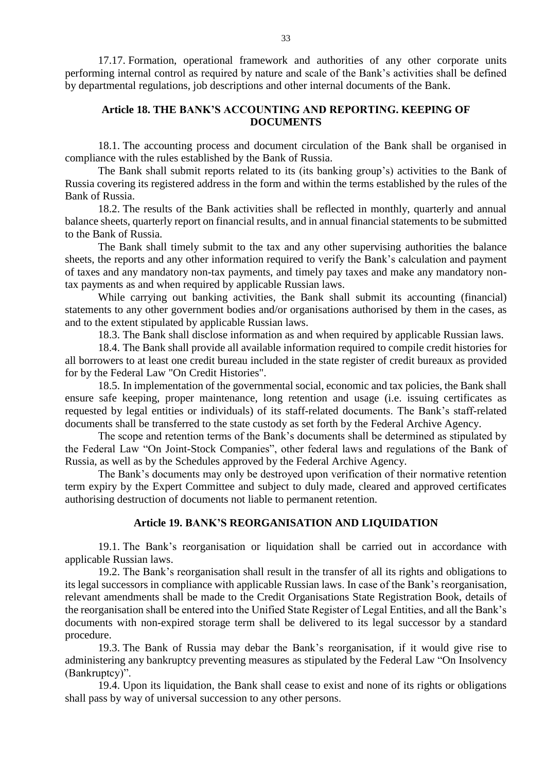17.17. Formation, operational framework and authorities of any other corporate units performing internal control as required by nature and scale of the Bank's activities shall be defined by departmental regulations, job descriptions and other internal documents of the Bank.

## **Article 18. THE BANK'S ACCOUNTING AND REPORTING. KEEPING OF DOCUMENTS**

18.1. The accounting process and document circulation of the Bank shall be organised in compliance with the rules established by the Bank of Russia.

The Bank shall submit reports related to its (its banking group's) activities to the Bank of Russia covering its registered address in the form and within the terms established by the rules of the Bank of Russia.

18.2. The results of the Bank activities shall be reflected in monthly, quarterly and annual balance sheets, quarterly report on financial results, and in annual financial statements to be submitted to the Bank of Russia.

The Bank shall timely submit to the tax and any other supervising authorities the balance sheets, the reports and any other information required to verify the Bank's calculation and payment of taxes and any mandatory non-tax payments, and timely pay taxes and make any mandatory nontax payments as and when required by applicable Russian laws.

While carrying out banking activities, the Bank shall submit its accounting (financial) statements to any other government bodies and/or organisations authorised by them in the cases, as and to the extent stipulated by applicable Russian laws.

18.3. The Bank shall disclose information as and when required by applicable Russian laws.

18.4. The Bank shall provide all available information required to compile credit histories for all borrowers to at least one credit bureau included in the state register of credit bureaux as provided for by the Federal Law "On Credit Histories".

18.5. In implementation of the governmental social, economic and tax policies, the Bank shall ensure safe keeping, proper maintenance, long retention and usage (i.e. issuing certificates as requested by legal entities or individuals) of its staff-related documents. The Bank's staff-related documents shall be transferred to the state custody as set forth by the Federal Archive Agency.

The scope and retention terms of the Bank's documents shall be determined as stipulated by the Federal Law "On Joint-Stock Companies", other federal laws and regulations of the Bank of Russia, as well as by the Schedules approved by the Federal Archive Agency.

The Bank's documents may only be destroyed upon verification of their normative retention term expiry by the Expert Committee and subject to duly made, cleared and approved certificates authorising destruction of documents not liable to permanent retention.

#### **Article 19. BANK'S REORGANISATION AND LIQUIDATION**

19.1. The Bank's reorganisation or liquidation shall be carried out in accordance with applicable Russian laws.

19.2. The Bank's reorganisation shall result in the transfer of all its rights and obligations to its legal successors in compliance with applicable Russian laws. In case of the Bank's reorganisation, relevant amendments shall be made to the Credit Organisations State Registration Book, details of the reorganisation shall be entered into the Unified State Register of Legal Entities, and all the Bank's documents with non-expired storage term shall be delivered to its legal successor by a standard procedure.

19.3. The Bank of Russia may debar the Bank's reorganisation, if it would give rise to administering any bankruptcy preventing measures as stipulated by the Federal Law "On Insolvency (Bankruptcy)".

19.4. Upon its liquidation, the Bank shall cease to exist and none of its rights or obligations shall pass by way of universal succession to any other persons.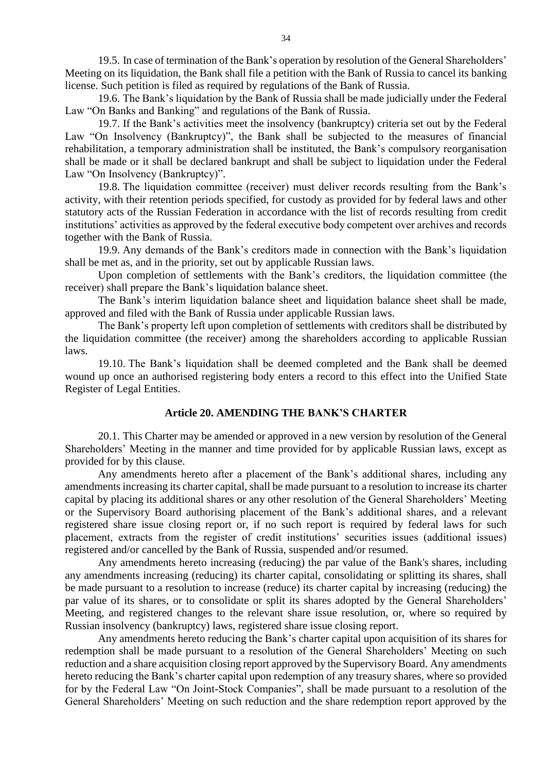19.5. In case of termination of the Bank's operation by resolution of the General Shareholders' Meeting on its liquidation, the Bank shall file a petition with the Bank of Russia to cancel its banking license. Such petition is filed as required by regulations of the Bank of Russia.

19.6. The Bank's liquidation by the Bank of Russia shall be made judicially under the Federal Law "On Banks and Banking" and regulations of the Bank of Russia.

19.7. If the Bank's activities meet the insolvency (bankruptcy) criteria set out by the Federal Law "On Insolvency (Bankruptcy)", the Bank shall be subjected to the measures of financial rehabilitation, a temporary administration shall be instituted, the Bank's compulsory reorganisation shall be made or it shall be declared bankrupt and shall be subject to liquidation under the Federal Law "On Insolvency (Bankruptcy)".

19.8. The liquidation committee (receiver) must deliver records resulting from the Bank's activity, with their retention periods specified, for custody as provided for by federal laws and other statutory acts of the Russian Federation in accordance with the list of records resulting from credit institutions' activities as approved by the federal executive body competent over archives and records together with the Bank of Russia.

19.9. Any demands of the Bank's creditors made in connection with the Bank's liquidation shall be met as, and in the priority, set out by applicable Russian laws.

Upon completion of settlements with the Bank's creditors, the liquidation committee (the receiver) shall prepare the Bank's liquidation balance sheet.

The Bank's interim liquidation balance sheet and liquidation balance sheet shall be made, approved and filed with the Bank of Russia under applicable Russian laws.

The Bank's property left upon completion of settlements with creditors shall be distributed by the liquidation committee (the receiver) among the shareholders according to applicable Russian laws.

19.10. The Bank's liquidation shall be deemed completed and the Bank shall be deemed wound up once an authorised registering body enters a record to this effect into the Unified State Register of Legal Entities.

## **Article 20. AMENDING THE BANK'S CHARTER**

20.1. This Charter may be amended or approved in a new version by resolution of the General Shareholders' Meeting in the manner and time provided for by applicable Russian laws, except as provided for by this clause.

Any amendments hereto after a placement of the Bank's additional shares, including any amendments increasing its charter capital, shall be made pursuant to a resolution to increase its charter capital by placing its additional shares or any other resolution of the General Shareholders' Meeting or the Supervisory Board authorising placement of the Bank's additional shares, and a relevant registered share issue closing report or, if no such report is required by federal laws for such placement, extracts from the register of credit institutions' securities issues (additional issues) registered and/or cancelled by the Bank of Russia, suspended and/or resumed.

Any amendments hereto increasing (reducing) the par value of the Bank's shares, including any amendments increasing (reducing) its charter capital, consolidating or splitting its shares, shall be made pursuant to a resolution to increase (reduce) its charter capital by increasing (reducing) the par value of its shares, or to consolidate or split its shares adopted by the General Shareholders' Meeting, and registered changes to the relevant share issue resolution, or, where so required by Russian insolvency (bankruptcy) laws, registered share issue closing report.

Any amendments hereto reducing the Bank's charter capital upon acquisition of its shares for redemption shall be made pursuant to a resolution of the General Shareholders' Meeting on such reduction and a share acquisition closing report approved by the Supervisory Board. Any amendments hereto reducing the Bank's charter capital upon redemption of any treasury shares, where so provided for by the Federal Law "On Joint-Stock Companies", shall be made pursuant to a resolution of the General Shareholders' Meeting on such reduction and the share redemption report approved by the